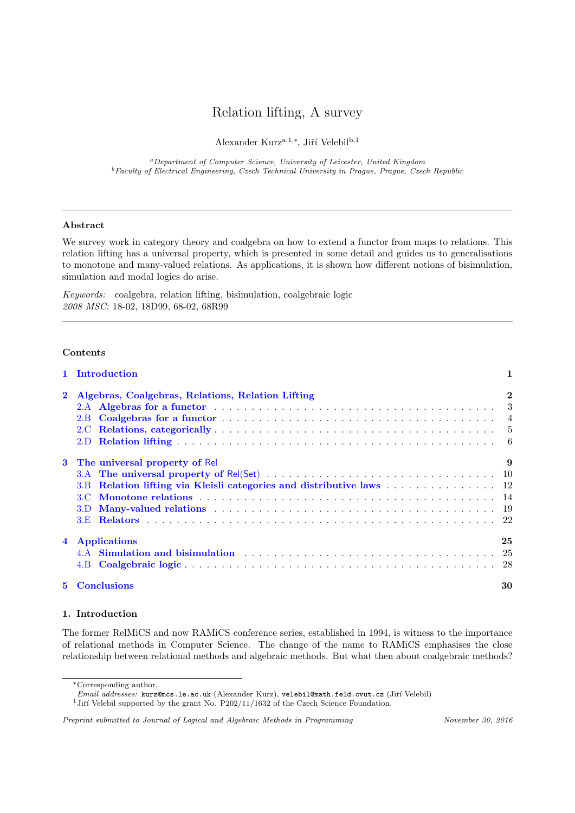# Relation lifting, A survey

Alexander Kurz<sup>a,1,\*</sup>, Jiří Velebil<sup>b,1</sup>

<sup>a</sup>Department of Computer Science, University of Leicester, United Kingdom  $^{b}$  Faculty of Electrical Engineering, Czech Technical University in Prague, Prague, Czech Republic

# Abstract

We survey work in category theory and coalgebra on how to extend a functor from maps to relations. This relation lifting has a universal property, which is presented in some detail and guides us to generalisations to monotone and many-valued relations. As applications, it is shown how different notions of bisimulation, simulation and modal logics do arise.

Keywords: coalgebra, relation lifting, bisimulation, coalgebraic logic 2008 MSC: 18-02, 18D99, 68-02, 68R99

# Contents

|    | 1 Introduction                                             | 1            |
|----|------------------------------------------------------------|--------------|
|    | Algebras, Coalgebras, Relations, Relation Lifting<br>2.B   | $\mathbf{2}$ |
| 3  | The universal property of Rel<br>3.B<br>3.C<br>3.D.<br>3.E | 9            |
|    | 4 Applications<br>4.B                                      | 25           |
| 5. | <b>Conclusions</b>                                         | 30           |

# <span id="page-0-0"></span>1. Introduction

The former RelMiCS and now RAMiCS conference series, established in 1994, is witness to the importance of relational methods in Computer Science. The change of the name to RAMiCS emphasises the close relationship between relational methods and algebraic methods. But what then about coalgebraic methods?

 $^1\!$  Jiří Velebil supported by the grant No. P202/11/1632 of the Czech Science Foundation.

Preprint submitted to Journal of Logical and Algebraic Methods in Programming November 30, 2016

<sup>∗</sup>Corresponding author.

Email addresses: kurz@mcs.le.ac.uk (Alexander Kurz), velebil@math.feld.cvut.cz (Jiří Velebil)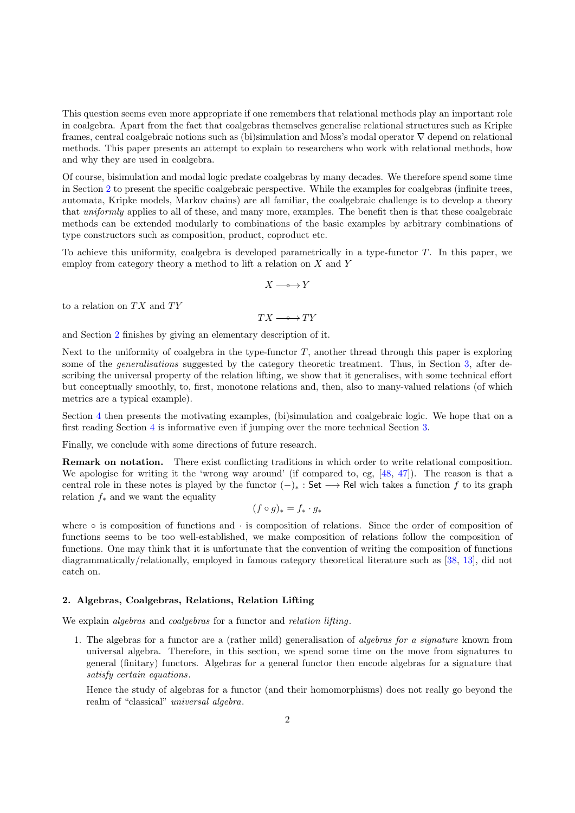This question seems even more appropriate if one remembers that relational methods play an important role in coalgebra. Apart from the fact that coalgebras themselves generalise relational structures such as Kripke frames, central coalgebraic notions such as (bi)simulation and Moss's modal operator ∇ depend on relational methods. This paper presents an attempt to explain to researchers who work with relational methods, how and why they are used in coalgebra.

Of course, bisimulation and modal logic predate coalgebras by many decades. We therefore spend some time in Section [2](#page-1-0) to present the specific coalgebraic perspective. While the examples for coalgebras (infinite trees, automata, Kripke models, Markov chains) are all familiar, the coalgebraic challenge is to develop a theory that uniformly applies to all of these, and many more, examples. The benefit then is that these coalgebraic methods can be extended modularly to combinations of the basic examples by arbitrary combinations of type constructors such as composition, product, coproduct etc.

To achieve this uniformity, coalgebra is developed parametrically in a type-functor  $T$ . In this paper, we employ from category theory a method to lift a relation on  $X$  and  $Y$ 

$$
X \longrightarrow\hspace{-3mm}\longrightarrow Y
$$

to a relation on  $TX$  and  $TY$ 

$$
TX \longrightarrow TY
$$

and Section [2](#page-1-0) finishes by giving an elementary description of it.

Next to the uniformity of coalgebra in the type-functor  $T$ , another thread through this paper is exploring some of the *generalisations* suggested by the category theoretic treatment. Thus, in Section [3,](#page-8-0) after describing the universal property of the relation lifting, we show that it generalises, with some technical effort but conceptually smoothly, to, first, monotone relations and, then, also to many-valued relations (of which metrics are a typical example).

Section [4](#page-24-0) then presents the motivating examples, (bi)simulation and coalgebraic logic. We hope that on a first reading Section [4](#page-24-0) is informative even if jumping over the more technical Section [3.](#page-8-0)

Finally, we conclude with some directions of future research.

Remark on notation. There exist conflicting traditions in which order to write relational composition. We apologise for writing it the 'wrong way around' (if compared to, eg, [\[48,](#page-31-0) [47\]](#page-30-0)). The reason is that a central role in these notes is played by the functor  $(-)_*$  : Set  $\longrightarrow$  Rel wich takes a function f to its graph relation  $f_*$  and we want the equality

$$
(f \circ g)_* = f_* \cdot g_*
$$

where  $\circ$  is composition of functions and  $\cdot$  is composition of relations. Since the order of composition of functions seems to be too well-established, we make composition of relations follow the composition of functions. One may think that it is unfortunate that the convention of writing the composition of functions diagrammatically/relationally, employed in famous category theoretical literature such as [\[38,](#page-30-1) [13\]](#page-30-2), did not catch on.

# <span id="page-1-0"></span>2. Algebras, Coalgebras, Relations, Relation Lifting

We explain *algebras* and *coalgebras* for a functor and *relation lifting*.

1. The algebras for a functor are a (rather mild) generalisation of algebras for a signature known from universal algebra. Therefore, in this section, we spend some time on the move from signatures to general (finitary) functors. Algebras for a general functor then encode algebras for a signature that satisfy certain equations.

Hence the study of algebras for a functor (and their homomorphisms) does not really go beyond the realm of "classical" universal algebra.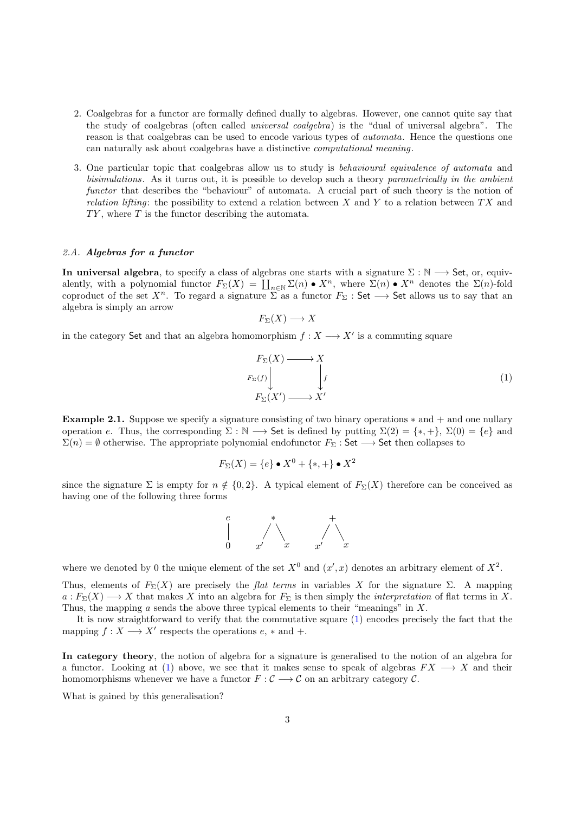- 2. Coalgebras for a functor are formally defined dually to algebras. However, one cannot quite say that the study of coalgebras (often called universal coalgebra) is the "dual of universal algebra". The reason is that coalgebras can be used to encode various types of automata. Hence the questions one can naturally ask about coalgebras have a distinctive computational meaning.
- 3. One particular topic that coalgebras allow us to study is behavioural equivalence of automata and bisimulations. As it turns out, it is possible to develop such a theory parametrically in the ambient functor that describes the "behaviour" of automata. A crucial part of such theory is the notion of relation lifting: the possibility to extend a relation between X and Y to a relation between  $TX$  and  $TY$ , where T is the functor describing the automata.

# <span id="page-2-0"></span>2.A. Algebras for a functor

In universal algebra, to specify a class of algebras one starts with a signature  $\Sigma : \mathbb{N} \longrightarrow$  Set, or, equivalently, with a polynomial functor  $F_{\Sigma}(X) = \coprod_{n\in\mathbb{N}} \Sigma(n) \bullet X^n$ , where  $\Sigma(n) \bullet X^n$  denotes the  $\Sigma(n)$ -fold coproduct of the set  $X^n$ . To regard a signature  $\Sigma$  as a functor  $F_\Sigma$ : Set  $\longrightarrow$  Set allows us to say that an algebra is simply an arrow

$$
F_{\Sigma}(X) \longrightarrow X
$$

in the category Set and that an algebra homomorphism  $f: X \longrightarrow X'$  is a commuting square

<span id="page-2-1"></span> $F_\Sigma(X)$  $F_\Sigma(f)$ ķ  $\cdot$  X f  $F_{\Sigma}(X') \longrightarrow \overset{\downarrow}{X'}$ (1)

**Example 2.1.** Suppose we specify a signature consisting of two binary operations  $*$  and  $+$  and one nullary operation e. Thus, the corresponding  $\Sigma : \mathbb{N} \longrightarrow$  Set is defined by putting  $\Sigma(2) = \{*, +\}, \Sigma(0) = \{e\}$  and  $\Sigma(n) = \emptyset$  otherwise. The appropriate polynomial endofunctor  $F_{\Sigma}$  : Set  $\longrightarrow$  Set then collapses to

$$
F_{\Sigma}(X) = \{e\} \bullet X^0 + \{*, +\} \bullet X^2
$$

since the signature  $\Sigma$  is empty for  $n \notin \{0, 2\}$ . A typical element of  $F_{\Sigma}(X)$  therefore can be conceived as having one of the following three forms



where we denoted by 0 the unique element of the set  $X^0$  and  $(x',x)$  denotes an arbitrary element of  $X^2$ .

Thus, elements of  $F_{\Sigma}(X)$  are precisely the *flat terms* in variables X for the signature Σ. A mapping  $a: F_{\Sigma}(X) \longrightarrow X$  that makes X into an algebra for  $F_{\Sigma}$  is then simply the *interpretation* of flat terms in X. Thus, the mapping  $a$  sends the above three typical elements to their "meanings" in  $X$ .

It is now straightforward to verify that the commutative square [\(1\)](#page-2-1) encodes precisely the fact that the mapping  $f: X \longrightarrow X'$  respects the operations  $e, *$  and  $+$ .

In category theory, the notion of algebra for a signature is generalised to the notion of an algebra for a functor. Looking at [\(1\)](#page-2-1) above, we see that it makes sense to speak of algebras  $FX \longrightarrow X$  and their homomorphisms whenever we have a functor  $F : \mathcal{C} \longrightarrow \mathcal{C}$  on an arbitrary category  $\mathcal{C}$ .

What is gained by this generalisation?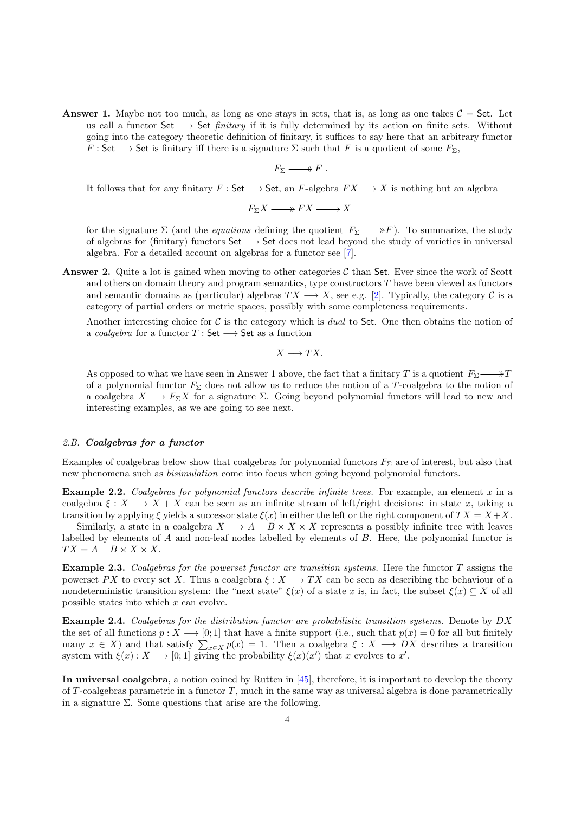**Answer 1.** Maybe not too much, as long as one stays in sets, that is, as long as one takes  $C =$  Set. Let us call a functor Set  $\longrightarrow$  Set *finitary* if it is fully determined by its action on finite sets. Without going into the category theoretic definition of finitary, it suffices to say here that an arbitrary functor  $F : \mathsf{Set} \longrightarrow \mathsf{Set}$  is finitary iff there is a signature  $\Sigma$  such that F is a quotient of some  $F_{\Sigma}$ ,

$$
F_{\Sigma} \longrightarrow F.
$$

It follows that for any finitary  $F : \mathsf{Set} \longrightarrow \mathsf{Set}$ , an  $F$ -algebra  $FX \longrightarrow X$  is nothing but an algebra

$$
F_{\Sigma}X \longrightarrow FX \longrightarrow X
$$

for the signature  $\Sigma$  (and the *equations* defining the quotient  $F_{\Sigma} \longrightarrow F$ ). To summarize, the study of algebras for (finitary) functors Set −→ Set does not lead beyond the study of varieties in universal algebra. For a detailed account on algebras for a functor see [\[7\]](#page-30-3).

**Answer 2.** Quite a lot is gained when moving to other categories  $C$  than Set. Ever since the work of Scott and others on domain theory and program semantics, type constructors  $T$  have been viewed as functors and semantic domains as (particular) algebras  $TX \longrightarrow X$ , see e.g. [\[2\]](#page-29-1). Typically, the category C is a category of partial orders or metric spaces, possibly with some completeness requirements.

Another interesting choice for  $C$  is the category which is *dual* to Set. One then obtains the notion of a coalgebra for a functor  $T : Set \longrightarrow Set$  as a function

 $X \longrightarrow TX$ .

As opposed to what we have seen in Answer 1 above, the fact that a finitary T is a quotient  $F_{\Sigma} \longrightarrow T$ of a polynomial functor  $F_{\Sigma}$  does not allow us to reduce the notion of a T-coalgebra to the notion of a coalgebra  $X \longrightarrow F_{\Sigma}X$  for a signature  $\Sigma$ . Going beyond polynomial functors will lead to new and interesting examples, as we are going to see next.

# <span id="page-3-0"></span>2.B. Coalgebras for a functor

Examples of coalgebras below show that coalgebras for polynomial functors  $F_\Sigma$  are of interest, but also that new phenomena such as bisimulation come into focus when going beyond polynomial functors.

**Example 2.2.** Coalgebras for polynomial functors describe infinite trees. For example, an element  $x$  in a coalgebra  $\xi : X \longrightarrow X + X$  can be seen as an infinite stream of left/right decisions: in state x, taking a transition by applying  $\xi$  yields a successor state  $\xi(x)$  in either the left or the right component of  $TX = X + X$ .

Similarly, a state in a coalgebra  $X \longrightarrow A + B \times X \times X$  represents a possibly infinite tree with leaves labelled by elements of A and non-leaf nodes labelled by elements of B. Here, the polynomial functor is  $TX = A + B \times X \times X$ .

Example 2.3. Coalgebras for the powerset functor are transition systems. Here the functor T assigns the powerset PX to every set X. Thus a coalgebra  $\xi: X \longrightarrow TX$  can be seen as describing the behaviour of a nondeterministic transition system: the "next state"  $\xi(x)$  of a state x is, in fact, the subset  $\xi(x) \subseteq X$  of all possible states into which x can evolve.

<span id="page-3-1"></span>Example 2.4. Coalgebras for the distribution functor are probabilistic transition systems. Denote by DX the set of all functions  $p: X \longrightarrow [0, 1]$  that have a finite support (i.e., such that  $p(x) = 0$  for all but finitely many  $x \in X$ ) and that satisfy  $\sum_{x \in X} p(x) = 1$ . Then a coalgebra  $\xi : X \longrightarrow DX$  describes a transition system with  $\xi(x): X \longrightarrow [0,1]$  giving the probability  $\xi(x)(x')$  that x evolves to x'.

In universal coalgebra, a notion coined by Rutten in [\[45\]](#page-30-4), therefore, it is important to develop the theory of T-coalgebras parametric in a functor  $T$ , much in the same way as universal algebra is done parametrically in a signature  $\Sigma$ . Some questions that arise are the following.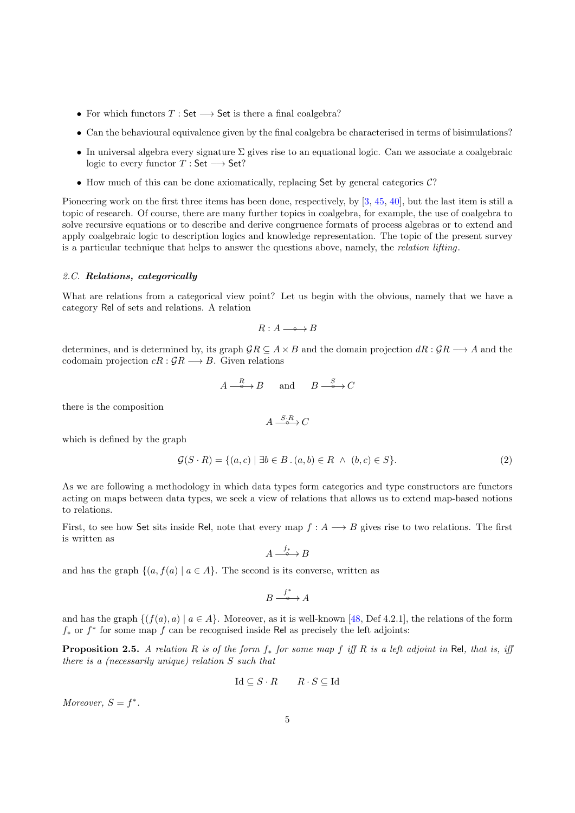- For which functors  $T : Set \longrightarrow Set$  is there a final coalgebra?
- Can the behavioural equivalence given by the final coalgebra be characterised in terms of bisimulations?
- In universal algebra every signature  $\Sigma$  gives rise to an equational logic. Can we associate a coalgebraic logic to every functor  $T : Set \longrightarrow Set?$
- How much of this can be done axiomatically, replacing Set by general categories  $\mathcal{C}$ ?

Pioneering work on the first three items has been done, respectively, by [\[3,](#page-29-2) [45,](#page-30-4) [40\]](#page-30-5), but the last item is still a topic of research. Of course, there are many further topics in coalgebra, for example, the use of coalgebra to solve recursive equations or to describe and derive congruence formats of process algebras or to extend and apply coalgebraic logic to description logics and knowledge representation. The topic of the present survey is a particular technique that helps to answer the questions above, namely, the relation lifting.

#### <span id="page-4-0"></span>2.C. Relations, categorically

What are relations from a categorical view point? Let us begin with the obvious, namely that we have a category Rel of sets and relations. A relation

$$
R:A\longrightarrow\hspace{-0.5em}\longrightarrow B
$$

determines, and is determined by, its graph  $\mathcal{G}R \subseteq A \times B$  and the domain projection  $dR : \mathcal{G}R \longrightarrow A$  and the codomain projection  $cR : \mathcal{G}R \longrightarrow B$ . Given relations

$$
A \xrightarrow{\quad R \quad} B \quad \text{and} \quad B \xrightarrow{\quad S \quad} C
$$

there is the composition

$$
A \xrightarrow{S \cdot R} C
$$

which is defined by the graph

<span id="page-4-2"></span>
$$
\mathcal{G}(S \cdot R) = \{(a, c) \mid \exists b \in B \cdot (a, b) \in R \land (b, c) \in S\}.
$$
\n
$$
(2)
$$

As we are following a methodology in which data types form categories and type constructors are functors acting on maps between data types, we seek a view of relations that allows us to extend map-based notions to relations.

First, to see how Set sits inside Rel, note that every map  $f : A \longrightarrow B$  gives rise to two relations. The first is written as

$$
A \xrightarrow{f_*} B
$$

and has the graph  $\{(a, f(a) | a \in A\})$ . The second is its converse, written as

$$
B \xrightarrow{f^*} A
$$

and has the graph  $\{(f(a), a) | a \in A\}$ . Moreover, as it is well-known [\[48,](#page-31-0) Def 4.2.1], the relations of the form  $f_*$  or  $f^*$  for some map  $f$  can be recognised inside Rel as precisely the left adjoints:

<span id="page-4-1"></span>**Proposition 2.5.** A relation R is of the form  $f_*$  for some map f iff R is a left adjoint in Rel, that is, iff there is a (necessarily unique) relation S such that

$$
\mathrm{Id} \subseteq S \cdot R \qquad R \cdot S \subseteq \mathrm{Id}
$$

Moreover,  $S = f^*$ .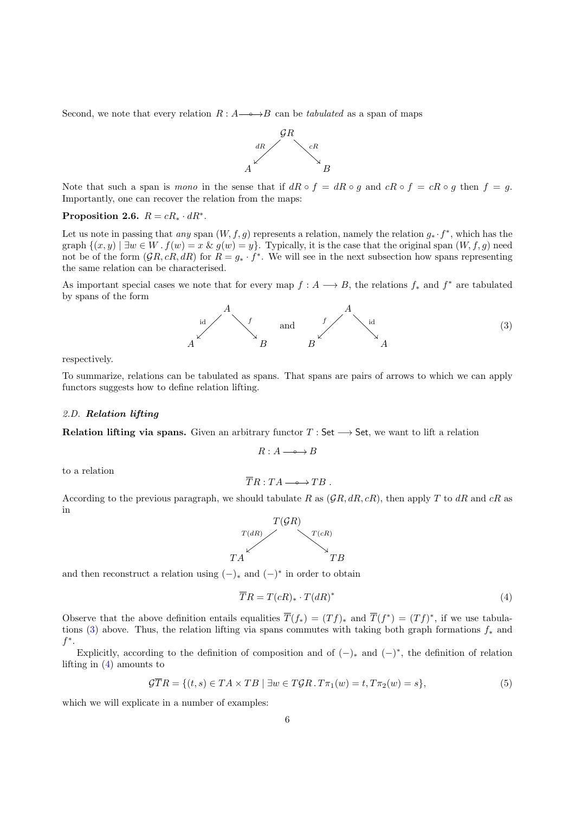Second, we note that every relation  $R : A \longrightarrow B$  can be *tabulated* as a span of maps



Note that such a span is mono in the sense that if  $dR \circ f = dR \circ g$  and  $cR \circ f = cR \circ g$  then  $f = g$ . Importantly, one can recover the relation from the maps:

# <span id="page-5-4"></span>Proposition 2.6.  $R = cR_* \cdot dR^*$ .

Let us note in passing that any span  $(W, f, g)$  represents a relation, namely the relation  $g_* \cdot f^*$ , which has the graph  $\{(x, y) \mid \exists w \in W \cdot f(w) = x \& g(w) = y\}$ . Typically, it is the case that the original span  $(W, f, g)$  need not be of the form  $(\mathcal{G}R, cR, dR)$  for  $R = g_* \cdot f^*$ . We will see in the next subsection how spans representing the same relation can be characterised.

As important special cases we note that for every map  $f: A \longrightarrow B$ , the relations  $f_*$  and  $f^*$  are tabulated by spans of the form

<span id="page-5-1"></span>

respectively.

To summarize, relations can be tabulated as spans. That spans are pairs of arrows to which we can apply functors suggests how to define relation lifting.

#### <span id="page-5-0"></span>2.D. Relation lifting

Relation lifting via spans. Given an arbitrary functor  $T : Set \longrightarrow Set$ , we want to lift a relation

$$
R:A\longrightarrow\hspace{-3mm}\longrightarrow B
$$

to a relation

$$
\overline{T}R:TA\longrightarrow TB.
$$

According to the previous paragraph, we should tabulate R as  $(\mathcal{GR}, dR, cR)$ , then apply T to  $dR$  and  $cR$  as in



and then reconstruct a relation using  $(-)_*$  and  $(-)^*$  in order to obtain

<span id="page-5-2"></span>
$$
\overline{T}R = T(cR)_{*} \cdot T(dR)^{*} \tag{4}
$$

Observe that the above definition entails equalities  $\overline{T}(f_*) = (Tf)_*$  and  $\overline{T}(f^*) = (Tf)^*$ , if we use tabula-tions [\(3\)](#page-5-1) above. Thus, the relation lifting via spans commutes with taking both graph formations  $f_*$  and  $f^*$ .

Explicitly, according to the definition of composition and of  $(-)_*$  and  $(-)^*$ , the definition of relation lifting in [\(4\)](#page-5-2) amounts to

<span id="page-5-3"></span>
$$
\mathcal{G}\overline{T}R = \{(t,s) \in TA \times TB \mid \exists w \in T\mathcal{G}R \cdot T\pi_1(w) = t, T\pi_2(w) = s\},\tag{5}
$$

which we will explicate in a number of examples: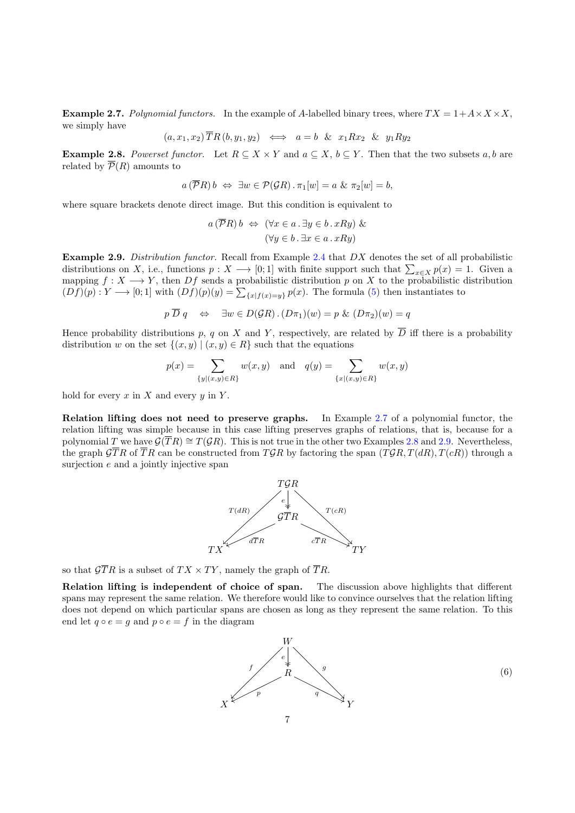<span id="page-6-0"></span>**Example 2.7.** Polynomial functors. In the example of A-labelled binary trees, where  $TX = 1 + A \times X \times X$ . we simply have

$$
(a, x_1, x_2) \overline{T}R (b, y_1, y_2) \iff a = b \& x_1 R x_2 \& y_1 R y_2
$$

<span id="page-6-1"></span>**Example 2.8.** Powerset functor. Let  $R \subseteq X \times Y$  and  $a \subseteq X$ ,  $b \subseteq Y$ . Then that the two subsets a, b are related by  $\overline{\mathcal{P}}(R)$  amounts to

$$
a(\overline{\mathcal{P}}R) b \Leftrightarrow \exists w \in \mathcal{P}(\mathcal{G}R) \cdot \pi_1[w] = a \& \pi_2[w] = b,
$$

where square brackets denote direct image. But this condition is equivalent to

$$
a(\overline{\mathcal{P}}R) b \Leftrightarrow (\forall x \in a \cdot \exists y \in b \cdot xRy) \& \\
(\forall y \in b \cdot \exists x \in a \cdot xRy)
$$

<span id="page-6-2"></span>Example 2.9. Distribution functor. Recall from Example [2.4](#page-3-1) that DX denotes the set of all probabilistic distributions on X, i.e., functions  $p: X \longrightarrow [0,1]$  with finite support such that  $\sum_{x \in X} p(x) = 1$ . Given a mapping  $f: X \longrightarrow Y$ , then Df sends a probabilistic distribution p on X to the probabilistic distribution  $(Df)(p): Y \longrightarrow [0,1]$  with  $(Df)(p)(y) = \sum_{\{x \mid f(x)=y\}} p(x)$ . The formula [\(5\)](#page-5-3) then instantiates to

$$
p \overline{D} q \iff \exists w \in D(\mathcal{G}R) \cdot (D\pi_1)(w) = p \& (D\pi_2)(w) = q
$$

Hence probability distributions p, q on X and Y, respectively, are related by  $\overline{D}$  iff there is a probability distribution w on the set  $\{(x, y) | (x, y) \in R\}$  such that the equations

$$
p(x) = \sum_{\{y|(x,y)\in R\}} w(x,y)
$$
 and  $q(y) = \sum_{\{x|(x,y)\in R\}} w(x,y)$ 

hold for every  $x$  in  $X$  and every  $y$  in  $Y$ .

Relation lifting does not need to preserve graphs. In Example [2.7](#page-6-0) of a polynomial functor, the relation lifting was simple because in this case lifting preserves graphs of relations, that is, because for a polynomial T we have  $\mathcal{G}(\overline{TR}) \cong T(\mathcal{G}R)$ . This is not true in the other two Examples [2.8](#page-6-1) and [2.9.](#page-6-2) Nevertheless, the graph  $\mathcal{G}TR$  of  $TR$  can be constructed from  $T\mathcal{G}R$  by factoring the span  $(T\mathcal{G}R, T(dR), T(cR))$  through a surjection  $e$  and a jointly injective span



so that  $\mathcal{G}TR$  is a subset of  $TX \times TY$ , namely the graph of  $TR$ .

Relation lifting is independent of choice of span. The discussion above highlights that different spans may represent the same relation. We therefore would like to convince ourselves that the relation lifting does not depend on which particular spans are chosen as long as they represent the same relation. To this end let  $q \circ e = g$  and  $p \circ e = f$  in the diagram

<span id="page-6-3"></span>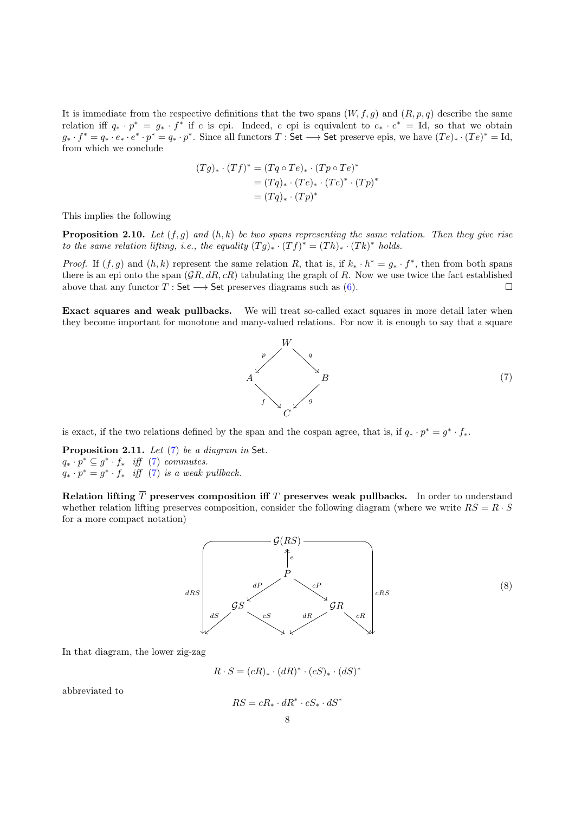It is immediate from the respective definitions that the two spans  $(W, f, g)$  and  $(R, p, q)$  describe the same relation iff  $q_* \cdot p^* = g_* \cdot f^*$  if e is epi. Indeed, e epi is equivalent to  $e_* \cdot e^* = \text{Id}$ , so that we obtain  $g_* \cdot f^* = q_* \cdot e_* \cdot e^* \cdot p^* = q_* \cdot p^*$ . Since all functors  $T : \mathsf{Set} \longrightarrow \mathsf{Set}$  preserve epis, we have  $(Te)_* \cdot (Te)^* = \mathrm{Id}$ , from which we conclude

$$
(Tg)_* \cdot (Tf)^* = (Tq \circ Te)_* \cdot (Tp \circ Te)^*
$$
  
= 
$$
(Tq)_* \cdot (Te)_* \cdot (Te)^* \cdot (Tp)^*
$$
  
= 
$$
(Tq)_* \cdot (Tp)^*
$$

This implies the following

<span id="page-7-1"></span>**Proposition 2.10.** Let  $(f, g)$  and  $(h, k)$  be two spans representing the same relation. Then they give rise to the same relation lifting, i.e., the equality  $(Tg)_* \cdot (Tf)^* = (Th)_* \cdot (Tk)^*$  holds.

*Proof.* If  $(f, g)$  and  $(h, k)$  represent the same relation R, that is, if  $k_* \cdot h^* = g_* \cdot f^*$ , then from both spans there is an epi onto the span  $(\mathcal{G}R, dR, cR)$  tabulating the graph of R. Now we use twice the fact established above that any functor  $T : \mathsf{Set} \longrightarrow \mathsf{Set}$  preserves diagrams such as [\(6\)](#page-6-3).  $\Box$ 

Exact squares and weak pullbacks. We will treat so-called exact squares in more detail later when they become important for monotone and many-valued relations. For now it is enough to say that a square

<span id="page-7-0"></span>

is exact, if the two relations defined by the span and the cospan agree, that is, if  $q_* \cdot p^* = g^* \cdot f_*$ .

<span id="page-7-2"></span>Proposition 2.11. Let [\(7\)](#page-7-0) be a diagram in Set.  $q_* \cdot p^* \subseteq g^* \cdot f_*$  iff [\(7\)](#page-7-0) commutes.  $q_* \cdot p^* = g^* \cdot f_*$  iff [\(7\)](#page-7-0) is a weak pullback.

Relation lifting  $\overline{T}$  preserves composition iff T preserves weak pullbacks. In order to understand whether relation lifting preserves composition, consider the following diagram (where we write  $RS = R \cdot S$ ) for a more compact notation)

<span id="page-7-3"></span>

In that diagram, the lower zig-zag

$$
R \cdot S = (cR)_* \cdot (dR)^* \cdot (cS)_* \cdot (dS)^*
$$

abbreviated to

$$
RS = cR_* \cdot dR^* \cdot cS_* \cdot dS^*
$$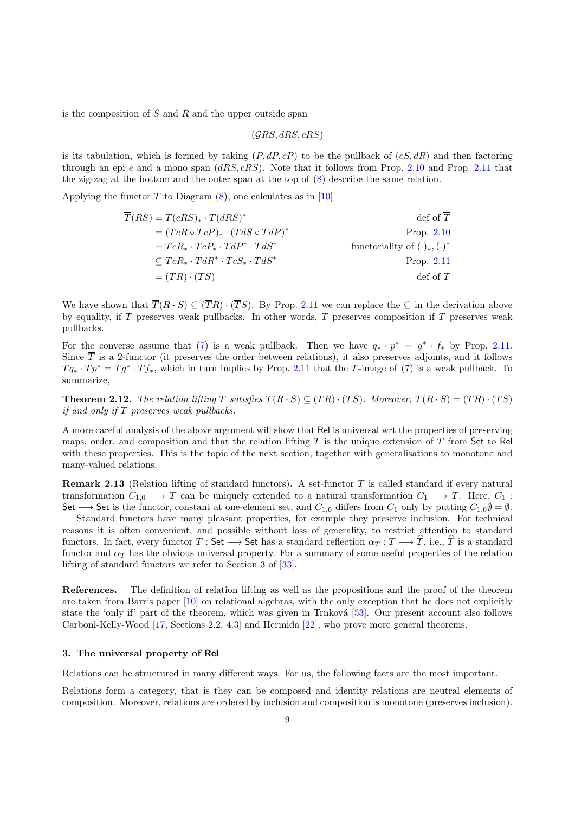is the composition of  $S$  and  $R$  and the upper outside span

 $(\mathcal{G}RS, dRS, cRS)$ 

is its tabulation, which is formed by taking  $(P, dP, cP)$  to be the pullback of  $(cS, dR)$  and then factoring through an epi e and a mono span  $(dRS, cRS)$ . Note that it follows from Prop. [2.10](#page-7-1) and Prop. [2.11](#page-7-2) that the zig-zag at the bottom and the outer span at the top of [\(8\)](#page-7-3) describe the same relation.

Applying the functor T to Diagram  $(8)$ , one calculates as in [\[10\]](#page-30-6)

| $T(RS) = T(cRS)_* \cdot T(dRS)^*$                | $\det$ of $T$                           |
|--------------------------------------------------|-----------------------------------------|
| $=(TcR \circ TcP)_{*} \cdot (TdS \circ TdP)^{*}$ | Prop. $2.10$                            |
| $= TcR_* \cdot TcP_* \cdot TdP^* \cdot TdS^*$    | functoriality of $(\cdot)_*, (\cdot)^*$ |
| $\subset TcR_*\cdot TdR^*\cdot TcS_*\cdot TdS^*$ | Prop. $2.11$                            |
| $=(\overline{T}R)\cdot(\overline{T}S)$           | $\text{def of } T$                      |

We have shown that  $\overline{T}(R \cdot S) \subseteq (\overline{T}R) \cdot (\overline{T}S)$ . By Prop. [2.11](#page-7-2) we can replace the  $\subseteq$  in the derivation above by equality, if T preserves weak pullbacks. In other words,  $\overline{T}$  preserves composition if T preserves weak pullbacks.

For the converse assume that [\(7\)](#page-7-0) is a weak pullback. Then we have  $q_* \cdot p^* = g^* \cdot f_*$  by Prop. [2.11.](#page-7-2) Since  $\overline{T}$  is a 2-functor (it preserves the order between relations), it also preserves adjoints, and it follows  $Tq_* \cdot Tp^* = Tg^* \cdot Tf_*$ , which in turn implies by Prop. [2.11](#page-7-2) that the T-image of [\(7\)](#page-7-0) is a weak pullback. To summarize,

<span id="page-8-1"></span>**Theorem 2.12.** The relation lifting  $\overline{T}$  satisfies  $\overline{T}(R \cdot S) \subseteq (\overline{T}R) \cdot (\overline{T}S)$ . Moreover,  $\overline{T}(R \cdot S) = (\overline{T}R) \cdot (\overline{T}S)$ if and only if T preserves weak pullbacks.

A more careful analysis of the above argument will show that Rel is universal wrt the properties of preserving maps, order, and composition and that the relation lifting  $\overline{T}$  is the unique extension of T from Set to Rel with these properties. This is the topic of the next section, together with generalisations to monotone and many-valued relations.

<span id="page-8-2"></span>Remark 2.13 (Relation lifting of standard functors). A set-functor T is called standard if every natural transformation  $C_{1,0} \longrightarrow T$  can be uniquely extended to a natural transformation  $C_1 \longrightarrow T$ . Here,  $C_1$ : Set  $\rightarrow$  Set is the functor, constant at one-element set, and  $C_{1,0}$  differs from  $C_1$  only by putting  $C_{1,0}$  $\emptyset = \emptyset$ .

Standard functors have many pleasant properties, for example they preserve inclusion. For technical reasons it is often convenient, and possible without loss of generality, to restrict attention to standard functors. In fact, every functor  $T : \mathsf{Set} \longrightarrow \mathsf{Set}$  has a standard reflection  $\alpha_T : T \longrightarrow T$ , i.e., T is a standard functor and  $\alpha_T$  has the obvious universal property. For a summary of some useful properties of the relation lifting of standard functors we refer to Section 3 of [\[33\]](#page-30-7).

References. The definition of relation lifting as well as the propositions and the proof of the theorem are taken from Barr's paper [\[10\]](#page-30-6) on relational algebras, with the only exception that he does not explicitly state the 'only if' part of the theorem, which was given in Trnková [\[53\]](#page-31-1). Our present account also follows Carboni-Kelly-Wood [\[17,](#page-30-8) Sections 2.2, 4.3] and Hermida [\[22\]](#page-30-9), who prove more general theorems.

#### <span id="page-8-0"></span>3. The universal property of Rel

Relations can be structured in many different ways. For us, the following facts are the most important.

Relations form a category, that is they can be composed and identity relations are neutral elements of composition. Moreover, relations are ordered by inclusion and composition is monotone (preserves inclusion).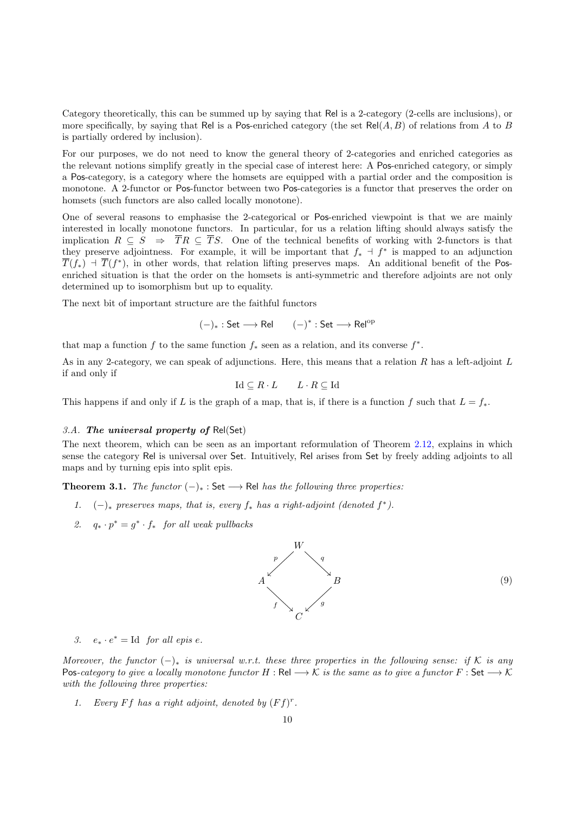Category theoretically, this can be summed up by saying that Rel is a 2-category (2-cells are inclusions), or more specifically, by saying that Rel is a Pos-enriched category (the set  $Rel(A, B)$ ) of relations from A to B is partially ordered by inclusion).

For our purposes, we do not need to know the general theory of 2-categories and enriched categories as the relevant notions simplify greatly in the special case of interest here: A Pos-enriched category, or simply a Pos-category, is a category where the homsets are equipped with a partial order and the composition is monotone. A 2-functor or Pos-functor between two Pos-categories is a functor that preserves the order on homsets (such functors are also called locally monotone).

One of several reasons to emphasise the 2-categorical or Pos-enriched viewpoint is that we are mainly interested in locally monotone functors. In particular, for us a relation lifting should always satisfy the implication  $R \subseteq S \Rightarrow \overline{T}R \subseteq \overline{T}S$ . One of the technical benefits of working with 2-functors is that they preserve adjointness. For example, it will be important that  $f_* \dashv f^*$  is mapped to an adjunction  $\overline{T}(f_*)$  +  $\overline{T}(f^*)$ , in other words, that relation lifting preserves maps. An additional benefit of the Posenriched situation is that the order on the homsets is anti-symmetric and therefore adjoints are not only determined up to isomorphism but up to equality.

The next bit of important structure are the faithful functors

 $(-)_* : Set \longrightarrow Rel$   $(-)^* : Set \longrightarrow Rel^{op}$ 

that map a function f to the same function  $f_*$  seen as a relation, and its converse  $f^*$ .

As in any 2-category, we can speak of adjunctions. Here, this means that a relation R has a left-adjoint L if and only if

Id ⊆  $R \cdot L$   $L \cdot R \subseteq$  Id

This happens if and only if L is the graph of a map, that is, if there is a function f such that  $L = f_*$ .

# <span id="page-9-0"></span>3.A. The universal property of  $Rel(Set)$

The next theorem, which can be seen as an important reformulation of Theorem [2.12,](#page-8-1) explains in which sense the category Rel is universal over Set. Intuitively, Rel arises from Set by freely adding adjoints to all maps and by turning epis into split epis.

<span id="page-9-2"></span>**Theorem 3.1.** The functor  $(-)_*$  : Set  $\longrightarrow$  Rel has the following three properties:

- 1.  $(-)_*$  preserves maps, that is, every  $f_*$  has a right-adjoint (denoted  $f^*$ ).
- 2.  $q_* \cdot p^* = g^* \cdot f_*$  for all weak pullbacks

<span id="page-9-1"></span>

(9)

3.  $e_* \cdot e^* = \text{Id}$  for all epis e.

Moreover, the functor  $(-)_*$  is universal w.r.t. these three properties in the following sense: if K is any Pos-category to give a locally monotone functor H : Rel  $\longrightarrow$  K is the same as to give a functor F : Set  $\longrightarrow$  K with the following three properties:

1. Every Ff has a right adjoint, denoted by  $(Ff)^r$ .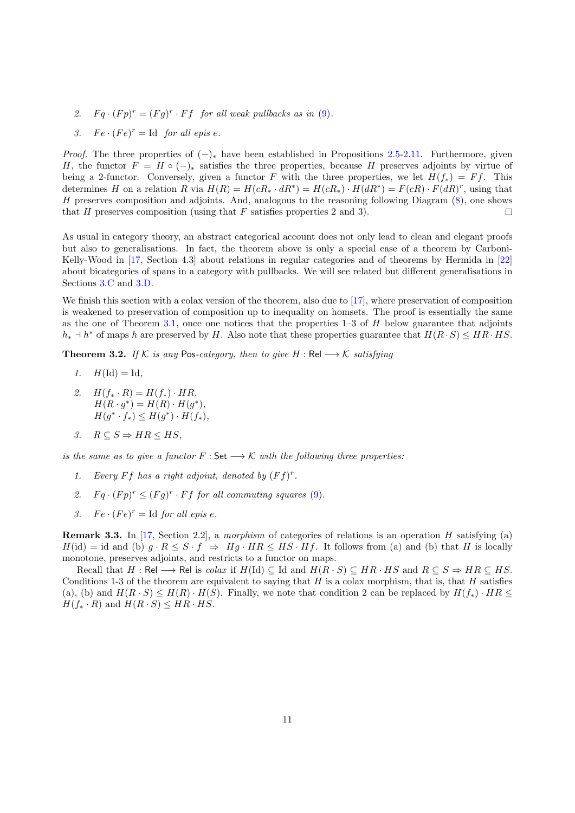- 2.  $Fq \cdot (Fp)^r = (Fg)^r \cdot Ff$  for all weak pullbacks as in [\(9\)](#page-9-1).
- 3.  $Fe \cdot (Fe)^r = \text{Id}$  for all epis e.

*Proof.* The three properties of  $(-)_*$  have been established in Propositions [2.5-](#page-4-1)[2.11.](#page-7-2) Furthermore, given H, the functor  $F = H \circ (-)_{\ast}$  satisfies the three properties, because H preserves adjoints by virtue of being a 2-functor. Conversely, given a functor F with the three properties, we let  $H(f_*) = Ff$ . This determines H on a relation R via  $H(R) = H(cR_* \cdot dR^*) = H(cR_*) \cdot H(dR^*) = F(cR) \cdot F(dR)^r$ , using that H preserves composition and adjoints. And, analogous to the reasoning following Diagram [\(8\)](#page-7-3), one shows that  $H$  preserves composition (using that  $F$  satisfies properties 2 and 3).  $\Box$ 

As usual in category theory, an abstract categorical account does not only lead to clean and elegant proofs but also to generalisations. In fact, the theorem above is only a special case of a theorem by Carboni-Kelly-Wood in [\[17,](#page-30-8) Section 4.3] about relations in regular categories and of theorems by Hermida in [\[22\]](#page-30-9) about bicategories of spans in a category with pullbacks. We will see related but different generalisations in Sections [3.C](#page-13-0) and [3.D.](#page-18-0)

We finish this section with a colax version of the theorem, also due to [\[17\]](#page-30-8), where preservation of composition is weakened to preservation of composition up to inequality on homsets. The proof is essentially the same as the one of Theorem [3.1,](#page-9-2) once one notices that the properties  $1-3$  of  $H$  below guarantee that adjoints  $h_* \dashv h^*$  of maps h are preserved by H. Also note that these properties guarantee that  $H(R \cdot S) \leq HR \cdot HS$ .

<span id="page-10-0"></span>Theorem 3.2. If K is any Pos-category, then to give  $H : \text{Rel} \longrightarrow \mathcal{K}$  satisfying

- 1.  $H(\mathrm{Id}) = \mathrm{Id},$
- 2.  $H(f_* \cdot R) = H(f_*) \cdot HR,$  $H(R \cdot g^*) = H(R) \cdot H(g^*),$  $H(g^* \cdot f_*) \leq H(g^*) \cdot H(f_*),$
- 3.  $R \subseteq S \Rightarrow HR \leq HS$ ,

is the same as to give a functor  $F : \mathsf{Set} \longrightarrow \mathcal{K}$  with the following three properties:

- 1. Every Ff has a right adjoint, denoted by  $(Ff)^r$ .
- 2.  $Fq \cdot (Fp)^r \leq (Fg)^r \cdot Ff$  for all commuting squares [\(9\)](#page-9-1).
- 3. Fe  $\cdot$   $(Fe)^r =$  Id for all epis e.

<span id="page-10-1"></span>**Remark 3.3.** In [\[17,](#page-30-8) Section 2.2], a morphism of categories of relations is an operation H satisfying (a)  $H(\mathrm{id}) = \mathrm{id}$  and (b)  $g \cdot R \leq S \cdot f \Rightarrow Hg \cdot HR \leq HS \cdot Hf$ . It follows from (a) and (b) that H is locally monotone, preserves adjoints, and restricts to a functor on maps.

Recall that H : Rel → Rel is colax if  $H(\text{Id}) \subseteq \text{Id}$  and  $H(R \cdot S) \subseteq HR \cdot HS$  and  $R \subseteq S \Rightarrow HR \subseteq HS$ . Conditions 1-3 of the theorem are equivalent to saying that  $H$  is a colax morphism, that is, that  $H$  satisfies (a), (b) and  $H(R \cdot S) \leq H(R) \cdot H(S)$ . Finally, we note that condition 2 can be replaced by  $H(f_*) \cdot HR \leq$  $H(f_* \cdot R)$  and  $H(R \cdot S) \leq HR \cdot HS$ .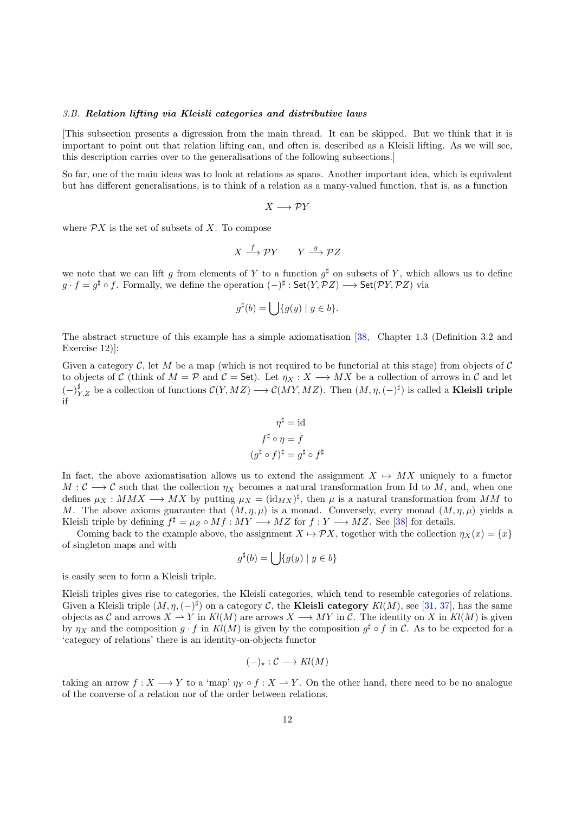#### <span id="page-11-0"></span>3.B. Relation lifting via Kleisli categories and distributive laws

[This subsection presents a digression from the main thread. It can be skipped. But we think that it is important to point out that relation lifting can, and often is, described as a Kleisli lifting. As we will see, this description carries over to the generalisations of the following subsections.]

So far, one of the main ideas was to look at relations as spans. Another important idea, which is equivalent but has different generalisations, is to think of a relation as a many-valued function, that is, as a function

$$
X\longrightarrow \mathcal{P}Y
$$

where  $\mathcal{P}X$  is the set of subsets of X. To compose

$$
X \xrightarrow{f} \mathcal{P}Y \qquad Y \xrightarrow{g} \mathcal{P}Z
$$

we note that we can lift g from elements of Y to a function  $g^{\sharp}$  on subsets of Y, which allows us to define  $g \cdot f = g^{\sharp} \circ f$ . Formally, we define the operation  $(-)^{\sharp} : Set(Y, \mathcal{P}Z) \longrightarrow Set(\mathcal{P}Y, \mathcal{P}Z)$  via

$$
g^{\sharp}(b) = \bigcup \{ g(y) \mid y \in b \}.
$$

The abstract structure of this example has a simple axiomatisation [\[38,](#page-30-1) Chapter 1.3 (Definition 3.2 and Exercise 12)]:

Given a category  $\mathcal{C}$ , let M be a map (which is not required to be functorial at this stage) from objects of  $\mathcal{C}$ to objects of C (think of  $M = \mathcal{P}$  and  $\mathcal{C} =$  Set). Let  $\eta_X : X \longrightarrow MX$  be a collection of arrows in C and let  $(-)^{\sharp}_{Y,Z}$  be a collection of functions  $\mathcal{C}(Y, MZ) \longrightarrow \mathcal{C}(MY, MZ)$ . Then  $(M, \eta, (-)^{\sharp})$  is called a **Kleisli triple** if

$$
\eta^{\sharp} = id
$$
  

$$
f^{\sharp} \circ \eta = f
$$
  

$$
(g^{\sharp} \circ f)^{\sharp} = g^{\sharp} \circ f^{\sharp}
$$

In fact, the above axiomatisation allows us to extend the assignment  $X \mapsto MX$  uniquely to a functor  $M: \mathcal{C} \longrightarrow \mathcal{C}$  such that the collection  $\eta_X$  becomes a natural transformation from Id to M, and, when one defines  $\mu_X : MMX \longrightarrow MX$  by putting  $\mu_X = (\text{id}_{MX})^{\sharp}$ , then  $\mu$  is a natural transformation from MM to M. The above axioms guarantee that  $(M, \eta, \mu)$  is a monad. Conversely, every monad  $(M, \eta, \mu)$  yields a Kleisli triple by defining  $f^{\sharp} = \mu_Z \circ Mf : MY \longrightarrow MZ$  for  $f : Y \longrightarrow MZ$ . See [\[38\]](#page-30-1) for details.

Coming back to the example above, the assignment  $X \mapsto \mathcal{P}X$ , together with the collection  $\eta_X(x) = \{x\}$ of singleton maps and with

$$
g^{\sharp}(b) = \bigcup \{ g(y) \mid y \in b \}
$$

is easily seen to form a Kleisli triple.

Kleisli triples gives rise to categories, the Kleisli categories, which tend to resemble categories of relations. Given a Kleisli triple  $(M, \eta, (-)^{\sharp})$  on a category C, the **Kleisli category**  $Kl(M)$ , see [\[31,](#page-30-10) [37\]](#page-30-11), has the same objects as C and arrows  $X \to Y$  in  $Kl(M)$  are arrows  $X \to MY$  in C. The identity on X in  $Kl(M)$  is given by  $\eta_X$  and the composition  $g \cdot f$  in  $Kl(M)$  is given by the composition  $g^{\sharp} \circ f$  in C. As to be expected for a 'category of relations' there is an identity-on-objects functor

$$
(-)_\star : \mathcal{C} \longrightarrow Kl(M)
$$

taking an arrow  $f: X \longrightarrow Y$  to a 'map'  $\eta_Y \circ f: X \longrightarrow Y$ . On the other hand, there need to be no analogue of the converse of a relation nor of the order between relations.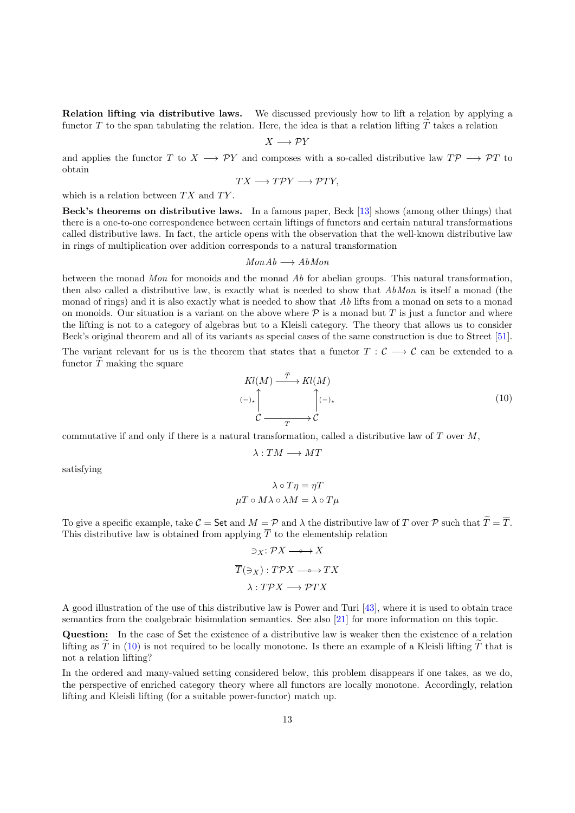Relation lifting via distributive laws. We discussed previously how to lift a relation by applying a functor T to the span tabulating the relation. Here, the idea is that a relation lifting  $\tilde{T}$  takes a relation

$$
X\longrightarrow \mathcal{P}Y
$$

and applies the functor T to  $X \longrightarrow \mathcal{P}Y$  and composes with a so-called distributive law  $T\mathcal{P} \longrightarrow \mathcal{P}T$  to obtain

$$
TX \longrightarrow T\mathcal{P}Y \longrightarrow \mathcal{P}TY,
$$

which is a relation between  $TX$  and  $TY$ .

Beck's theorems on distributive laws. In a famous paper, Beck [\[13\]](#page-30-2) shows (among other things) that there is a one-to-one correspondence between certain liftings of functors and certain natural transformations called distributive laws. In fact, the article opens with the observation that the well-known distributive law in rings of multiplication over addition corresponds to a natural transformation

$$
MonAb \longrightarrow AbMon
$$

between the monad Mon for monoids and the monad Ab for abelian groups. This natural transformation, then also called a distributive law, is exactly what is needed to show that  $AbMon$  is itself a monad (the monad of rings) and it is also exactly what is needed to show that Ab lifts from a monad on sets to a monad on monoids. Our situation is a variant on the above where  $\mathcal P$  is a monad but T is just a functor and where the lifting is not to a category of algebras but to a Kleisli category. The theory that allows us to consider Beck's original theorem and all of its variants as special cases of the same construction is due to Street [\[51\]](#page-31-2).

The variant relevant for us is the theorem that states that a functor  $T : C \longrightarrow C$  can be extended to a functor  $\widetilde{T}$  making the square

<span id="page-12-0"></span>
$$
Kl(M) \xrightarrow{T} Kl(M)
$$
  
\n
$$
\downarrow
$$
  
\n
$$
\downarrow
$$
  
\n
$$
\downarrow
$$
  
\n
$$
\downarrow
$$
  
\n
$$
\downarrow
$$
  
\n
$$
\downarrow
$$
  
\n
$$
\downarrow
$$
  
\n
$$
\downarrow
$$
  
\n
$$
\downarrow
$$
  
\n
$$
\downarrow
$$
  
\n
$$
\downarrow
$$
  
\n
$$
\downarrow
$$
  
\n
$$
\downarrow
$$
  
\n
$$
\downarrow
$$
  
\n
$$
\downarrow
$$
  
\n
$$
\downarrow
$$
  
\n
$$
\downarrow
$$
  
\n
$$
\downarrow
$$
  
\n
$$
\downarrow
$$
  
\n
$$
\downarrow
$$
  
\n
$$
\downarrow
$$
  
\n
$$
\downarrow
$$
  
\n
$$
\downarrow
$$
  
\n
$$
\downarrow
$$
  
\n
$$
\downarrow
$$
  
\n
$$
\downarrow
$$
  
\n
$$
\downarrow
$$
  
\n
$$
\downarrow
$$
  
\n
$$
\downarrow
$$
  
\n
$$
\downarrow
$$
  
\n
$$
\downarrow
$$
  
\n
$$
\downarrow
$$
  
\n
$$
\downarrow
$$
  
\n
$$
\downarrow
$$
  
\n
$$
\downarrow
$$
  
\n
$$
\downarrow
$$
  
\n
$$
\downarrow
$$
  
\n
$$
\downarrow
$$
  
\n
$$
\downarrow
$$
  
\n
$$
\downarrow
$$
  
\n
$$
\downarrow
$$
  
\n
$$
\downarrow
$$
  
\n
$$
\downarrow
$$
  
\n
$$
\downarrow
$$
  
\n
$$
\downarrow
$$
  
\n
$$
\downarrow
$$
  
\n
$$
\downarrow
$$
  
\n
$$
\downarrow
$$
  
\n
$$
\downarrow
$$
  
\n
$$
\downarrow
$$
  
\n
$$
\downarrow
$$
  
\n
$$
\downarrow
$$
  
\n
$$
\downarrow
$$
  
\n

commutative if and only if there is a natural transformation, called a distributive law of  $T$  over  $M$ ,

$$
\lambda:TM\longrightarrow MT
$$

satisfying

$$
\lambda \circ T\eta = \eta T
$$

$$
\mu T \circ M\lambda \circ \lambda M = \lambda \circ T\mu
$$

To give a specific example, take  $\mathcal{C} =$  Set and  $M = \mathcal{P}$  and  $\lambda$  the distributive law of T over  $\mathcal{P}$  such that  $\widetilde{T} = \overline{T}$ . This distributive law is obtained from applying  $\overline{T}$  to the elementship relation

$$
\exists x: \mathcal{P}X \longrightarrow X
$$

$$
\overline{T}(\exists x): T\mathcal{P}X \longrightarrow TX
$$

$$
\lambda: T\mathcal{P}X \longrightarrow \mathcal{P}TX
$$

A good illustration of the use of this distributive law is Power and Turi [\[43\]](#page-30-12), where it is used to obtain trace semantics from the coalgebraic bisimulation semantics. See also [\[21\]](#page-30-13) for more information on this topic.

Question: In the case of Set the existence of a distributive law is weaker then the existence of a relation lifting as T in  $(10)$  is not required to be locally monotone. Is there an example of a Kleisli lifting T that is not a relation lifting?

In the ordered and many-valued setting considered below, this problem disappears if one takes, as we do, the perspective of enriched category theory where all functors are locally monotone. Accordingly, relation lifting and Kleisli lifting (for a suitable power-functor) match up.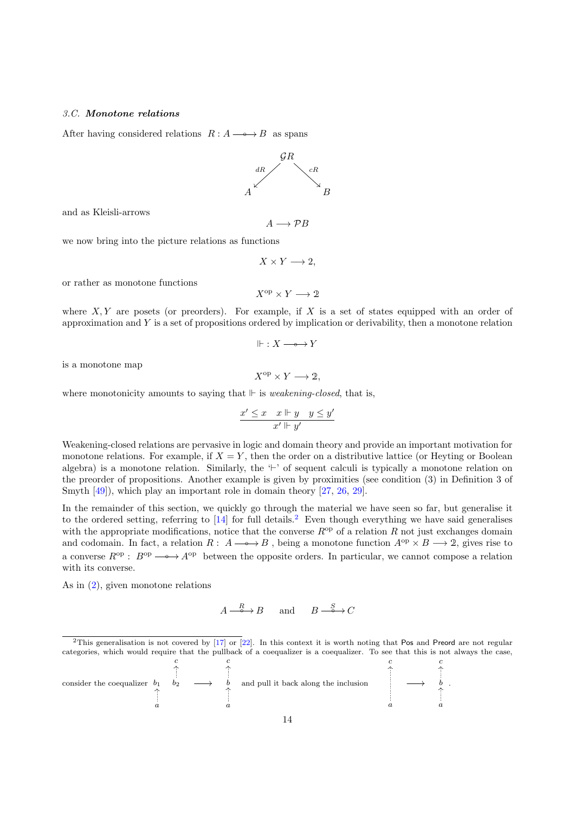## <span id="page-13-0"></span>3.C. Monotone relations

After having considered relations  $R : A \longrightarrow B$  as spans



and as Kleisli-arrows

we now bring into the picture relations as functions

 $X \times Y \longrightarrow 2$ ,

 $A \longrightarrow \mathcal{P}B$ 

or rather as monotone functions

$$
X^{\mathrm{op}} \times Y \longrightarrow 2
$$

where  $X, Y$  are posets (or preorders). For example, if X is a set of states equipped with an order of approximation and  $Y$  is a set of propositions ordered by implication or derivability, then a monotone relation

$$
\Vdash : X \longrightarrow Y
$$

is a monotone map

$$
X^{\mathrm{op}} \times Y \longrightarrow 2,
$$

where monotonicity amounts to saying that  $\Vdash$  is *weakening-closed*, that is,

$$
\frac{x' \le x \quad x \Vdash y \quad y \le y'}{x' \Vdash y'}
$$

Weakening-closed relations are pervasive in logic and domain theory and provide an important motivation for monotone relations. For example, if  $X = Y$ , then the order on a distributive lattice (or Heyting or Boolean algebra) is a monotone relation. Similarly, the  $\vdash'$  of sequent calculi is typically a monotone relation on the preorder of propositions. Another example is given by proximities (see condition (3) in Definition 3 of Smyth [\[49\]](#page-31-3)), which play an important role in domain theory [\[27,](#page-30-14) [26,](#page-30-15) [29\]](#page-30-16).

In the remainder of this section, we quickly go through the material we have seen so far, but generalise it to the ordered setting, referring to  $[14]$  for full details.<sup>[2](#page-13-1)</sup> Even though everything we have said generalises with the appropriate modifications, notice that the converse  $R^{\rm op}$  of a relation R not just exchanges domain and codomain. In fact, a relation  $R: A \longrightarrow B$ , being a monotone function  $A^{\rm op} \times B \longrightarrow 2$ , gives rise to a converse  $R^{\rm op}$ :  $B^{\rm op} \longrightarrow A^{\rm op}$  between the opposite orders. In particular, we cannot compose a relation with its converse.

As in [\(2\)](#page-4-2), given monotone relations

$$
A \xrightarrow{\quad R \quad} B \quad \text{and} \quad B \xrightarrow{\quad S \quad} C
$$

<span id="page-13-1"></span> $2$ This generalisation is not covered by  $[17]$  or  $[22]$ . In this context it is worth noting that Pos and Preord are not regular categories, which would require that the pullback of a coequalizer is a coequalizer. To see that this is not always the case,

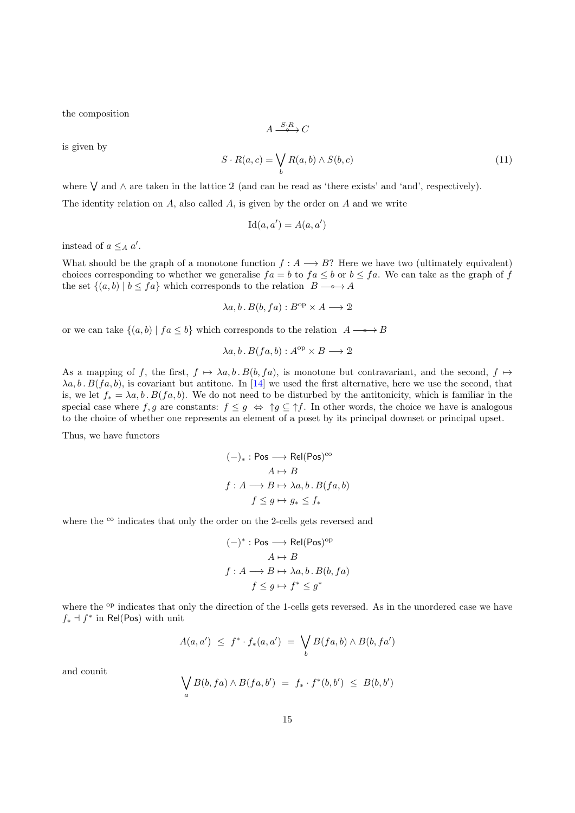the composition

$$
A \xrightarrow{S \cdot R} C
$$

is given by

$$
S \cdot R(a, c) = \bigvee_{b} R(a, b) \wedge S(b, c)
$$
\n(11)

where W and ∧ are taken in the lattice 2 (and can be read as 'there exists' and 'and', respectively).

The identity relation on A, also called A, is given by the order on A and we write

$$
Id(a, a') = A(a, a')
$$

instead of  $a \leq_A a'$ .

What should be the graph of a monotone function  $f: A \longrightarrow B$ ? Here we have two (ultimately equivalent) choices corresponding to whether we generalise  $fa = b$  to  $fa \leq b$  or  $b \leq fa$ . We can take as the graph of f the set  $\{(a, b) | b \leq fa\}$  which corresponds to the relation  $B \longrightarrow A$ 

$$
\lambda a, b \, B(b, fa) : B^{\text{op}} \times A \longrightarrow 2
$$

or we can take  $\{(a, b) | fa \leq b\}$  which corresponds to the relation  $A \rightarrow B$ 

$$
\lambda a, b \, B(fa, b) : A^{\rm op} \times B \longrightarrow 2
$$

As a mapping of f, the first,  $f \mapsto \lambda a, b \cdot B(b, fa)$ , is monotone but contravariant, and the second,  $f \mapsto$  $\lambda a, b$ .  $B(f a, b)$ , is covariant but antitone. In [\[14\]](#page-30-17) we used the first alternative, here we use the second, that is, we let  $f_* = \lambda a, b \cdot B(f a, b)$ . We do not need to be disturbed by the antitonicity, which is familiar in the special case where f, g are constants:  $f \leq g \Leftrightarrow \uparrow g \subseteq \uparrow f$ . In other words, the choice we have is analogous to the choice of whether one represents an element of a poset by its principal downset or principal upset.

Thus, we have functors

$$
(-)_* : \text{Pos} \longrightarrow \text{Rel}(\text{Pos})^{\text{co}} \\
A \mapsto B \\
f : A \longrightarrow B \mapsto \lambda a, b \cdot B(fa, b) \\
f \le g \mapsto g_* \le f_*
$$

where the <sup>co</sup> indicates that only the order on the 2-cells gets reversed and

$$
(-)^{*}: \text{Pos} \longrightarrow \text{Rel}(\text{Pos})^{\text{op}}
$$

$$
A \mapsto B
$$

$$
f: A \longrightarrow B \mapsto \lambda a, b. B(b, fa)
$$

$$
f \le g \mapsto f^{*} \le g^{*}
$$

where the <sup>op</sup> indicates that only the direction of the 1-cells gets reversed. As in the unordered case we have  $f_*$  ⊣  $f^*$  in Rel(Pos) with unit

$$
A(a,a') \leq f^* \cdot f_*(a,a') = \bigvee_b B(fa,b) \wedge B(b,fa')
$$

and counit

$$
\bigvee_a B(b, fa) \wedge B(fa, b') = f_* \cdot f^*(b, b') \leq B(b, b')
$$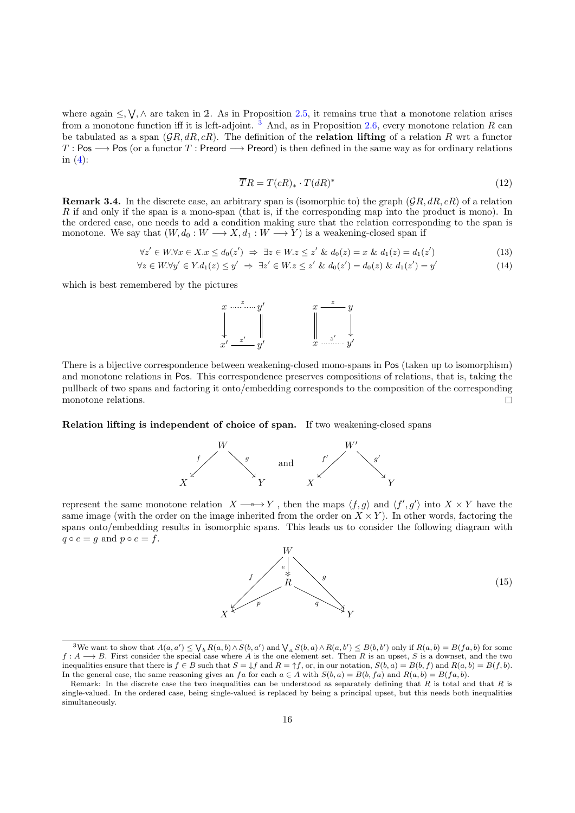where again  $\leq, \forall, \wedge$  are taken in 2. As in Proposition [2.5,](#page-4-1) it remains true that a monotone relation arises from a monotone function iff it is left-adjoint. <sup>[3](#page-15-0)</sup> And, as in Proposition [2.6,](#page-5-4) every monotone relation R can be tabulated as a span  $(\mathcal{G}R, dR, cR)$ . The definition of the **relation lifting** of a relation R wrt a functor  $T : \mathsf{Pos} \longrightarrow \mathsf{Pos}$  (or a functor T: Preord  $\longrightarrow \mathsf{Preord}$ ) is then defined in the same way as for ordinary relations in  $(4)$ :

$$
\overline{T}R = T(cR)_{*} \cdot T(dR)^{*} \tag{12}
$$

**Remark 3.4.** In the discrete case, an arbitrary span is (isomorphic to) the graph  $(\mathcal{G}R, dR, cR)$  of a relation R if and only if the span is a mono-span (that is, if the corresponding map into the product is mono). In the ordered case, one needs to add a condition making sure that the relation corresponding to the span is monotone. We say that  $(W, d_0 : W \longrightarrow X, d_1 : W \longrightarrow Y)$  is a weakening-closed span if

$$
\forall z' \in W. \forall x \in X. x \le d_0(z') \implies \exists z \in W. z \le z' \& d_0(z) = x \& d_1(z) = d_1(z')
$$
\n(13)

$$
\forall z \in W. \forall y' \in Y. d_1(z) \le y' \Rightarrow \exists z' \in W. z \le z' \& d_0(z') = d_0(z) \& d_1(z') = y'
$$
\n
$$
(14)
$$

which is best remembered by the pictures



There is a bijective correspondence between weakening-closed mono-spans in Pos (taken up to isomorphism) and monotone relations in Pos. This correspondence preserves compositions of relations, that is, taking the pullback of two spans and factoring it onto/embedding corresponds to the composition of the corresponding monotone relations. П

#### Relation lifting is independent of choice of span. If two weakening-closed spans



represent the same monotone relation  $X \longrightarrow Y$ , then the maps  $\langle f, g \rangle$  and  $\langle f', g' \rangle$  into  $X \times Y$  have the same image (with the order on the image inherited from the order on  $X \times Y$ ). In other words, factoring the spans onto/embedding results in isomorphic spans. This leads us to consider the following diagram with  $q \circ e = g$  and  $p \circ e = f$ .

<span id="page-15-1"></span>

<span id="page-15-0"></span><sup>&</sup>lt;sup>3</sup>We want to show that  $A(a, a') \leq \bigvee_b R(a, b) \wedge S(b, a')$  and  $\bigvee_a S(b, a) \wedge R(a, b') \leq B(b, b')$  only if  $R(a, b) = B(fa, b)$  for some  $f: A \longrightarrow B$ . First consider the special case where A is the one element set. Then R is an upset, S is a downset, and the two inequalities ensure that there is  $f \in B$  such that  $S = \downarrow f$  and  $R = \uparrow f$ , or, in our notation,  $S(b, a) = B(b, f)$  and  $R(a, b) = B(f, b)$ . In the general case, the same reasoning gives an fa for each  $a \in A$  with  $S(b, a) = B(b, fa)$  and  $R(a, b) = B(fa, b)$ .

Remark: In the discrete case the two inequalities can be understood as separately defining that  $R$  is total and that  $R$  is single-valued. In the ordered case, being single-valued is replaced by being a principal upset, but this needs both inequalities simultaneously.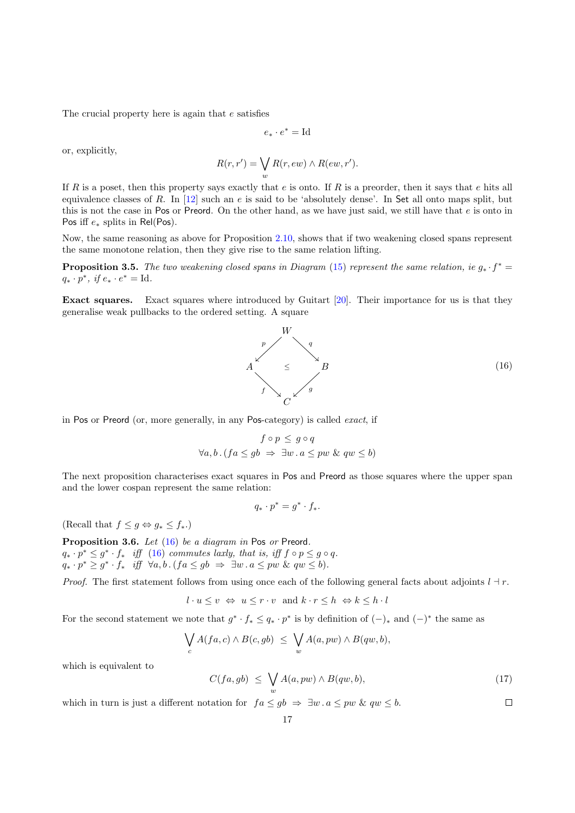The crucial property here is again that e satisfies

$$
e_*\cdot e^*=\mathrm{Id}
$$

or, explicitly,

$$
R(r,r') = \bigvee_{w} R(r,ew) \wedge R(ew,r').
$$

If R is a poset, then this property says exactly that e is onto. If R is a preorder, then it says that e hits all equivalence classes of R. In  $[12]$  such an e is said to be 'absolutely dense'. In Set all onto maps split, but this is not the case in Pos or Preord. On the other hand, as we have just said, we still have that  $e$  is onto in Pos iff  $e_*$  splits in Rel(Pos).

Now, the same reasoning as above for Proposition [2.10,](#page-7-1) shows that if two weakening closed spans represent the same monotone relation, then they give rise to the same relation lifting.

**Proposition 3.5.** The two weakening closed spans in Diagram [\(15\)](#page-15-1) represent the same relation, ie  $g_* \cdot f^* =$  $q_* \cdot p^*, \text{ if } e_* \cdot e^* = \text{Id}.$ 

Exact squares. Exact squares where introduced by Guitart [\[20\]](#page-30-19). Their importance for us is that they generalise weak pullbacks to the ordered setting. A square

<span id="page-16-0"></span>

in Pos or Preord (or, more generally, in any Pos-category) is called exact, if

$$
f \circ p \le g \circ q
$$
  

$$
\forall a, b. (fa \le gb \Rightarrow \exists w. a \le pw \& qu \le b)
$$

The next proposition characterises exact squares in Pos and Preord as those squares where the upper span and the lower cospan represent the same relation:

$$
q_*\cdot p^*=g^*\cdot f_*.
$$

(Recall that  $f \leq g \Leftrightarrow g_* \leq f_*$ .)

Proposition 3.6. Let [\(16\)](#page-16-0) be a diagram in Pos or Preord.  $q_* \cdot p^* \leq g^* \cdot f_*$  iff [\(16\)](#page-16-0) commutes laxly, that is, iff  $f \circ p \leq g \circ q$ .  $q_* \cdot p^* \geq g^* \cdot f_*$  iff  $\forall a, b \cdot (fa \leq gb \Rightarrow \exists w \cdot a \leq pw \& qu \leq b).$ 

*Proof.* The first statement follows from using once each of the following general facts about adjoints  $l \dashv r$ .

$$
l \cdot u \le v \Leftrightarrow u \le r \cdot v
$$
 and  $k \cdot r \le h \Leftrightarrow k \le h \cdot l$ 

For the second statement we note that  $g^* \cdot f_* \leq q_* \cdot p^*$  is by definition of  $(-)_*$  and  $(-)^*$  the same as

$$
\bigvee_c A(fa,c) \wedge B(c,gb) \leq \bigvee_w A(a,pw) \wedge B(qw,b),
$$

which is equivalent to

$$
C(fa, gb) \leq \bigvee_{w} A(a, pw) \wedge B(qw, b), \qquad (17)
$$

which in turn is just a different notation for  $fa \le gb \Rightarrow \exists w \cdot a \le pw \& qu \le b$ .  $\Box$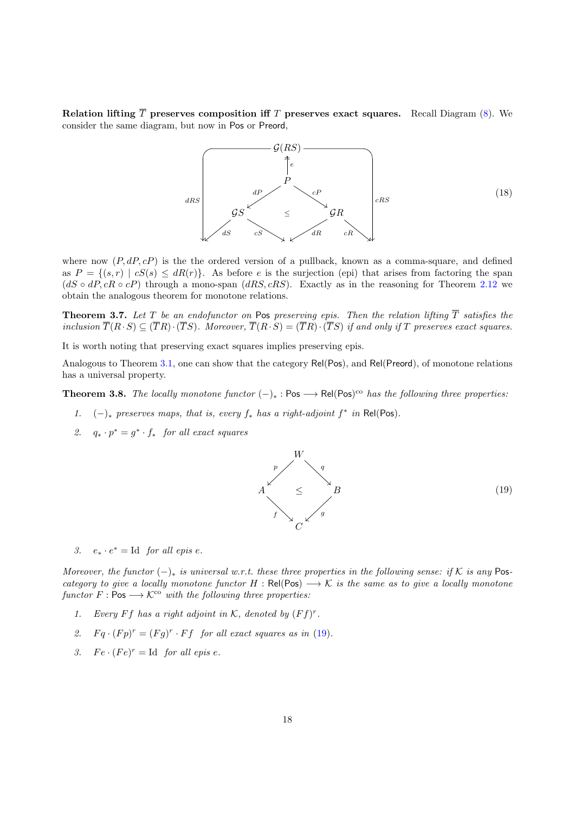Relation lifting  $\overline{T}$  preserves composition iff T preserves exact squares. Recall Diagram [\(8\)](#page-7-3). We consider the same diagram, but now in Pos or Preord,



where now  $(P, dP, cP)$  is the the ordered version of a pullback, known as a comma-square, and defined as  $P = \{(s, r) | cS(s) \leq dR(r)\}\$ . As before e is the surjection (epi) that arises from factoring the span  $(dS \circ dP, cR \circ cP)$  through a mono-span  $(dRS, cRS)$ . Exactly as in the reasoning for Theorem [2.12](#page-8-1) we obtain the analogous theorem for monotone relations.

**Theorem 3.7.** Let T be an endofunctor on Pos preserving epis. Then the relation lifting  $\overline{T}$  satisfies the inclusion  $\overline{T}(R\cdot S) \subseteq (\overline{T}R)\cdot(\overline{T}S)$ . Moreover,  $\overline{T}(R\cdot S) = (\overline{T}R)\cdot(\overline{T}S)$  if and only if T preserves exact squares.

It is worth noting that preserving exact squares implies preserving epis.

Analogous to Theorem [3.1,](#page-9-2) one can show that the category Rel(Pos), and Rel(Preord), of monotone relations has a universal property.

**Theorem 3.8.** The locally monotone functor  $(-)_*$  : Pos  $\longrightarrow$  Rel(Pos)<sup>co</sup> has the following three properties:

- 1.  $(-)_*$  preserves maps, that is, every  $f_*$  has a right-adjoint  $f^*$  in Rel(Pos).
- 2.  $q_* \cdot p^* = g^* \cdot f_*$  for all exact squares

<span id="page-17-0"></span>

3.  $e_* \cdot e^* = \text{Id}$  for all epis e.

Moreover, the functor  $(-)_*$  is universal w.r.t. these three properties in the following sense: if K is any Poscategory to give a locally monotone functor  $H : Rel(Pos) \longrightarrow K$  is the same as to give a locally monotone functor  $F : \mathsf{Pos} \longrightarrow \mathcal{K}^{\mathsf{co}}$  with the following three properties:

- 1. Every Ff has a right adjoint in K, denoted by  $(Ff)^r$ .
- 2.  $Fq \cdot (Fp)^r = (Fg)^r \cdot Ff$  for all exact squares as in [\(19\)](#page-17-0).
- 3.  $Fe \cdot (Fe)^r = \text{Id}$  for all epis e.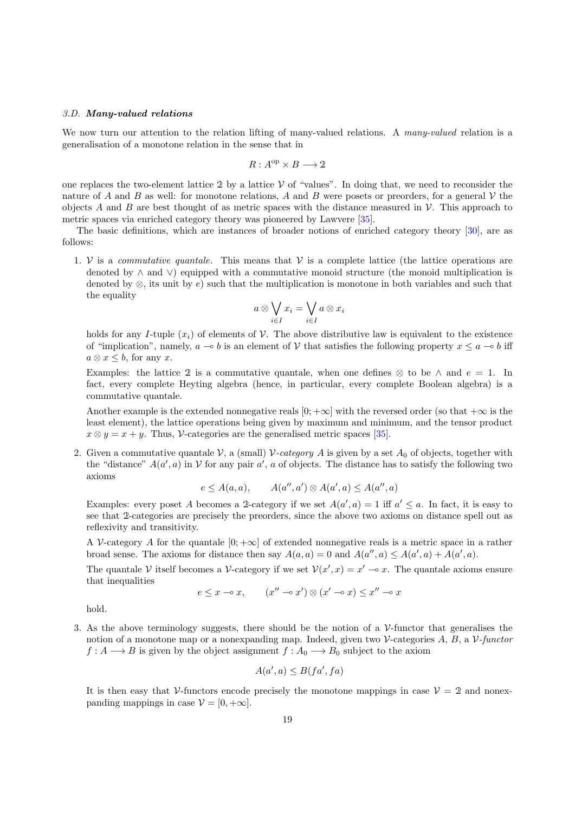#### <span id="page-18-0"></span>3.D. Many-valued relations

We now turn our attention to the relation lifting of many-valued relations. A many-valued relation is a generalisation of a monotone relation in the sense that in

$$
R: A^{\text{op}} \times B \longrightarrow 2
$$

one replaces the two-element lattice 2 by a lattice  $V$  of "values". In doing that, we need to reconsider the nature of A and B as well: for monotone relations, A and B were posets or preorders, for a general  $\mathcal V$  the objects A and B are best thought of as metric spaces with the distance measured in  $\mathcal V$ . This approach to metric spaces via enriched category theory was pioneered by Lawvere [\[35\]](#page-30-20).

The basic definitions, which are instances of broader notions of enriched category theory [\[30\]](#page-30-21), are as follows:

1. V is a *commutative quantale*. This means that V is a complete lattice (the lattice operations are denoted by ∧ and ∨) equipped with a commutative monoid structure (the monoid multiplication is denoted by  $\otimes$ , its unit by e) such that the multiplication is monotone in both variables and such that the equality

$$
a \otimes \bigvee_{i \in I} x_i = \bigvee_{i \in I} a \otimes x_i
$$

holds for any I-tuple  $(x_i)$  of elements of V. The above distributive law is equivalent to the existence of "implication", namely,  $a \rightarrow b$  is an element of V that satisfies the following property  $x \le a \rightarrow b$  iff  $a \otimes x \leq b$ , for any x.

Examples: the lattice 2 is a commutative quantale, when one defines  $\otimes$  to be  $\wedge$  and  $e = 1$ . In fact, every complete Heyting algebra (hence, in particular, every complete Boolean algebra) is a commutative quantale.

Another example is the extended nonnegative reals  $[0; +\infty]$  with the reversed order (so that  $+\infty$  is the least element), the lattice operations being given by maximum and minimum, and the tensor product  $x \otimes y = x + y$ . Thus, V-categories are the generalised metric spaces [\[35\]](#page-30-20).

2. Given a commutative quantale V, a (small) V-category A is given by a set  $A_0$  of objects, together with the "distance"  $A(a', a)$  in V for any pair  $a'$ , a of objects. The distance has to satisfy the following two axioms

$$
e \le A(a, a), \qquad A(a'', a') \otimes A(a', a) \le A(a'', a)
$$

Examples: every poset A becomes a 2-category if we set  $A(a', a) = 1$  iff  $a' \le a$ . In fact, it is easy to see that 2-categories are precisely the preorders, since the above two axioms on distance spell out as reflexivity and transitivity.

A V-category A for the quantale  $[0; +\infty]$  of extended nonnegative reals is a metric space in a rather broad sense. The axioms for distance then say  $A(a, a) = 0$  and  $A(a'', a) \leq A(a', a) + A(a', a)$ .

The quantale V itself becomes a V-category if we set  $V(x', x) = x' \rightarrow x$ . The quantale axioms ensure that inequalities

$$
e \leq x \multimap x, \qquad (x'' \multimap x') \otimes (x' \multimap x) \leq x'' \multimap x
$$

hold.

3. As the above terminology suggests, there should be the notion of a  $\mathcal{V}\text{-}$  functor that generalises the notion of a monotone map or a nonexpanding map. Indeed, given two  $\mathcal V$ -categories A, B, a  $\mathcal V$ -functor  $f: A \longrightarrow B$  is given by the object assignment  $f: A_0 \longrightarrow B_0$  subject to the axiom

$$
A(a',a) \le B(fa',fa)
$$

It is then easy that V-functors encode precisely the monotone mappings in case  $V = 2$  and nonexpanding mappings in case  $\mathcal{V} = [0, +\infty]$ .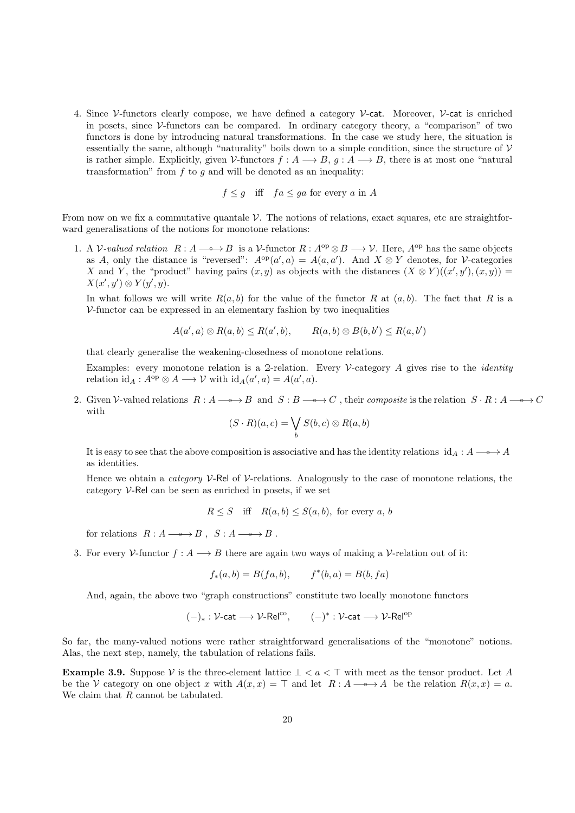4. Since V-functors clearly compose, we have defined a category V-cat. Moreover, V-cat is enriched in posets, since  $\mathcal V$ -functors can be compared. In ordinary category theory, a "comparison" of two functors is done by introducing natural transformations. In the case we study here, the situation is essentially the same, although "naturality" boils down to a simple condition, since the structure of  $\mathcal V$ is rather simple. Explicitly, given V-functors  $f: A \longrightarrow B$ ,  $q: A \longrightarrow B$ , there is at most one "natural" transformation" from  $f$  to  $g$  and will be denoted as an inequality:

$$
f \leq g
$$
 iff  $fa \leq ga$  for every a in A

From now on we fix a commutative quantale  $\mathcal V$ . The notions of relations, exact squares, etc are straightforward generalisations of the notions for monotone relations:

1. A V-valued relation  $R : A \longrightarrow B$  is a V-functor  $R : A^{\rm op} \otimes B \longrightarrow V$ . Here,  $A^{\rm op}$  has the same objects as A, only the distance is "reversed":  $A^{\text{op}}(a', a) = A(a, a')$ . And  $X \otimes Y$  denotes, for V-categories X and Y, the "product" having pairs  $(x, y)$  as objects with the distances  $(X \otimes Y)((x', y'), (x, y)) =$  $X(x', y') \otimes Y(y', y).$ 

In what follows we will write  $R(a, b)$  for the value of the functor R at  $(a, b)$ . The fact that R is a  $V$ -functor can be expressed in an elementary fashion by two inequalities

$$
A(a',a)\otimes R(a,b)\leq R(a',b), \qquad R(a,b)\otimes B(b,b')\leq R(a,b')
$$

that clearly generalise the weakening-closedness of monotone relations.

Examples: every monotone relation is a 2-relation. Every  $\mathcal V$ -category A gives rise to the *identity* relation  $id_A: A^{op} \otimes A \longrightarrow V$  with  $id_A(a', a) = A(a', a)$ .

2. Given V-valued relations  $R : A \longrightarrow B$  and  $S : B \longrightarrow C$ , their composite is the relation  $S \cdot R : A \longrightarrow C$ with

$$
(S \cdot R)(a, c) = \bigvee_b S(b, c) \otimes R(a, b)
$$

It is easy to see that the above composition is associative and has the identity relations id<sub>A</sub> :  $A \rightarrow A$ as identities.

Hence we obtain a *category*  $V$ -Rel of  $V$ -relations. Analogously to the case of monotone relations, the category V-Rel can be seen as enriched in posets, if we set

$$
R \le S \quad \text{iff} \quad R(a, b) \le S(a, b), \text{ for every } a, b
$$

for relations  $R : A \longrightarrow B$ ,  $S : A \longrightarrow B$ .

3. For every V-functor  $f : A \longrightarrow B$  there are again two ways of making a V-relation out of it:

$$
f_*(a, b) = B(fa, b),
$$
  $f^*(b, a) = B(b, fa)$ 

And, again, the above two "graph constructions" constitute two locally monotone functors

$$
(-)_*: \mathcal{V}\text{-cat} \longrightarrow \mathcal{V}\text{-}\mathsf{Rel}^{\mathrm{co}}, \qquad (-)^*: \mathcal{V}\text{-}\mathsf{cat} \longrightarrow \mathcal{V}\text{-}\mathsf{Rel}^{\mathrm{op}}
$$

So far, the many-valued notions were rather straightforward generalisations of the "monotone" notions. Alas, the next step, namely, the tabulation of relations fails.

Example 3.9. Suppose  $\mathcal V$  is the three-element lattice  $\bot < a < \top$  with meet as the tensor product. Let A be the V category on one object x with  $A(x, x) = \top$  and let  $R : A \longrightarrow A$  be the relation  $R(x, x) = a$ . We claim that R cannot be tabulated.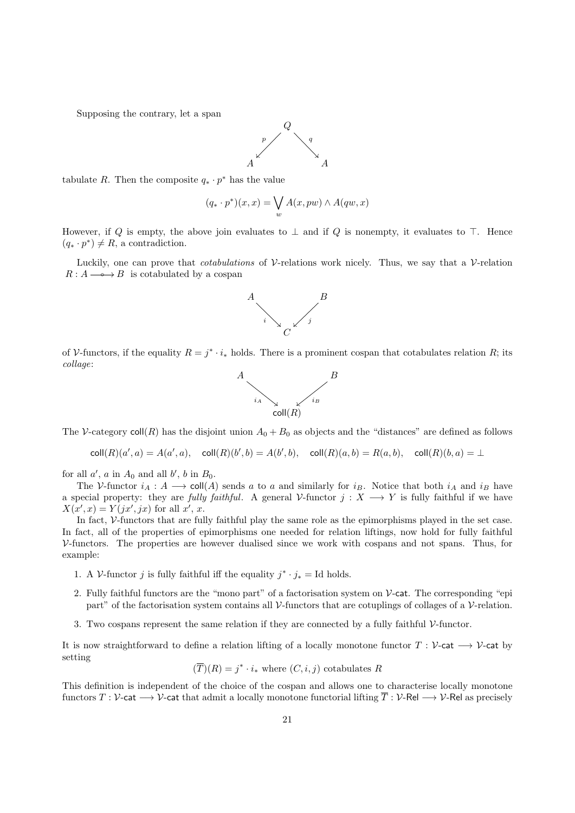Supposing the contrary, let a span



tabulate R. Then the composite  $q_* \cdot p^*$  has the value

$$
(q_* \cdot p^*)(x, x) = \bigvee_w A(x, pw) \land A(qw, x)
$$

However, if Q is empty, the above join evaluates to  $\perp$  and if Q is nonempty, it evaluates to  $\top$ . Hence  $(q_* \cdot p^*) \neq R$ , a contradiction.

Luckily, one can prove that *cotabulations* of  $\mathcal V$ -relations work nicely. Thus, we say that a  $\mathcal V$ -relation  $R : A \longrightarrow B$  is cotabulated by a cospan



of V-functors, if the equality  $R = j^* \cdot i_*$  holds. There is a prominent cospan that cotabulates relation R; its collage:



The V-category  $\text{coll}(R)$  has the disjoint union  $A_0 + B_0$  as objects and the "distances" are defined as follows

$$
\mathsf{coll}(R)(a',a) = A(a',a), \quad \mathsf{coll}(R)(b',b) = A(b',b), \quad \mathsf{coll}(R)(a,b) = R(a,b), \quad \mathsf{coll}(R)(b,a) = \bot
$$

for all  $a'$ ,  $a$  in  $A_0$  and all  $b'$ ,  $b$  in  $B_0$ .

The V-functor  $i_A : A \longrightarrow \text{coll}(A)$  sends a to a and similarly for  $i_B$ . Notice that both  $i_A$  and  $i_B$  have a special property: they are *fully faithful*. A general V-functor  $j : X \longrightarrow Y$  is fully faithful if we have  $X(x',x) = Y(jx', jx)$  for all x', x.

In fact, V-functors that are fully faithful play the same role as the epimorphisms played in the set case. In fact, all of the properties of epimorphisms one needed for relation liftings, now hold for fully faithful V-functors. The properties are however dualised since we work with cospans and not spans. Thus, for example:

- 1. A V-functor j is fully faithful iff the equality  $j^* \cdot j_* =$  Id holds.
- 2. Fully faithful functors are the "mono part" of a factorisation system on  $\mathcal V$ -cat. The corresponding "epi part" of the factorisation system contains all  $\mathcal V$ -functors that are cotuplings of collages of a  $\mathcal V$ -relation.
- 3. Two cospans represent the same relation if they are connected by a fully faithful V-functor.

It is now straightforward to define a relation lifting of a locally monotone functor  $T : \mathcal{V}\text{-cat} \longrightarrow \mathcal{V}\text{-cat}$ setting

$$
(\overline{T})(R) = j^* \cdot i_*
$$
 where  $(C, i, j)$  cotabulates R

This definition is independent of the choice of the cospan and allows one to characterise locally monotone functors  $T : \mathcal{V}\text{-cat } \longrightarrow \mathcal{V}\text{-cat}$  that admit a locally monotone functorial lifting  $\overline{T} : \mathcal{V}\text{-Rel } \longrightarrow \mathcal{V}\text{-Rel}$  as precisely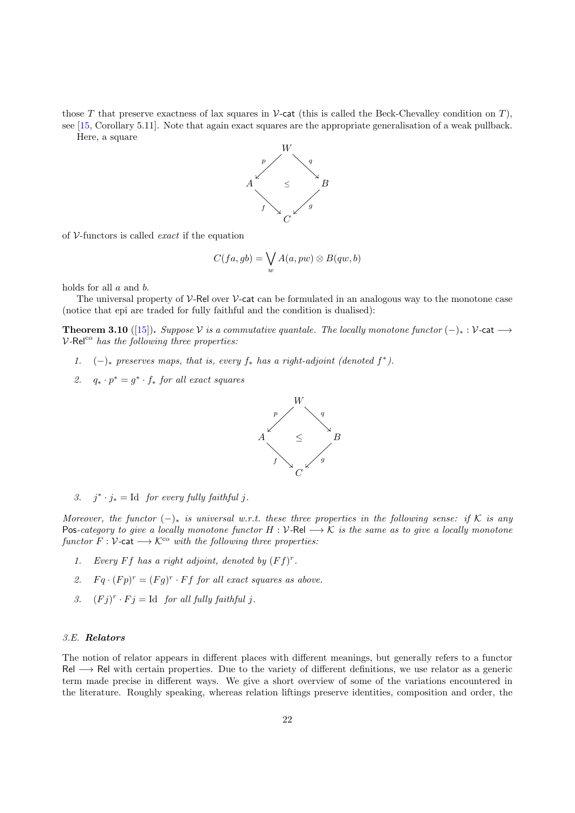those T that preserve exactness of lax squares in V-cat (this is called the Beck-Chevalley condition on T). see [\[15,](#page-30-22) Corollary 5.11]. Note that again exact squares are the appropriate generalisation of a weak pullback. Here, a square



of  $V$ -functors is called *exact* if the equation

$$
C(fa, gb) = \bigvee_{w} A(a, pw) \otimes B(qw, b)
$$

holds for all a and b.

The universal property of  $\mathcal V$ -Rel over  $\mathcal V$ -cat can be formulated in an analogous way to the monotone case (notice that epi are traded for fully faithful and the condition is dualised):

**Theorem 3.10** ([\[15\]](#page-30-22)). Suppose V is a commutative quantale. The locally monotone functor  $(-)_* : \mathcal{V}$ -cat  $\longrightarrow$  $V\text{-}Rel^{co}$  has the following three properties:

- 1.  $(-)_*$  preserves maps, that is, every  $f_*$  has a right-adjoint (denoted  $f^*$ ).
- 2.  $q_* \cdot p^* = g^* \cdot f_*$  for all exact squares



3.  $j^* \cdot j_* = \text{Id}$  for every fully faithful j.

Moreover, the functor  $(-)_*$  is universal w.r.t. these three properties in the following sense: if K is any Pos-category to give a locally monotone functor  $H : V$ -Rel  $\longrightarrow K$  is the same as to give a locally monotone functor  $F: V$ -cat  $\longrightarrow K^{co}$  with the following three properties:

- 1. Every Ff has a right adjoint, denoted by  $(Ff)^r$ .
- 2.  $Fq \cdot (Fp)^r = (Fg)^r \cdot Ff$  for all exact squares as above.
- 3.  $(Fj)^r \cdot Fj = \text{Id}$  for all fully faithful j.

#### <span id="page-21-0"></span>3.E. Relators

The notion of relator appears in different places with different meanings, but generally refers to a functor Rel → Rel with certain properties. Due to the variety of different definitions, we use relator as a generic term made precise in different ways. We give a short overview of some of the variations encountered in the literature. Roughly speaking, whereas relation liftings preserve identities, composition and order, the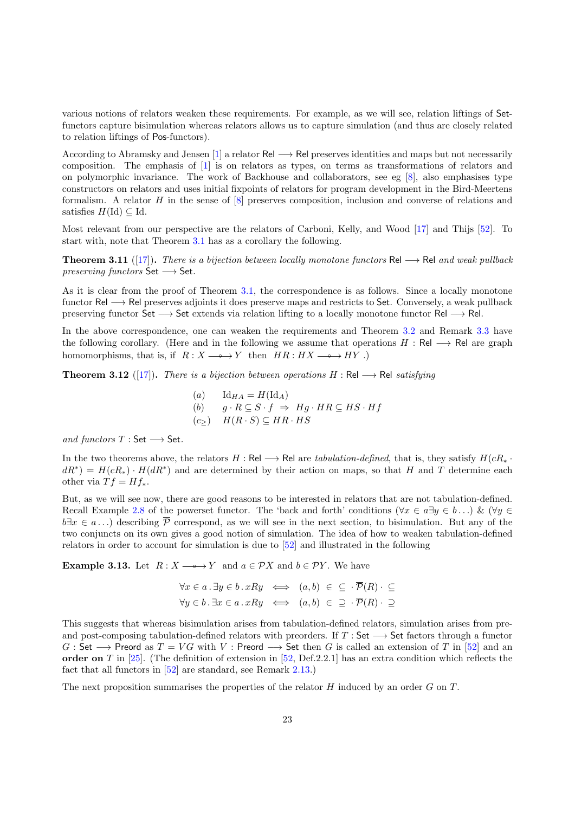various notions of relators weaken these requirements. For example, as we will see, relation liftings of Setfunctors capture bisimulation whereas relators allows us to capture simulation (and thus are closely related to relation liftings of Pos-functors).

According to Abramsky and Jensen [\[1\]](#page-29-3) a relator Rel  $\rightarrow$  Rel preserves identities and maps but not necessarily composition. The emphasis of [\[1\]](#page-29-3) is on relators as types, on terms as transformations of relators and on polymorphic invariance. The work of Backhouse and collaborators, see eg [\[8\]](#page-30-23), also emphasises type constructors on relators and uses initial fixpoints of relators for program development in the Bird-Meertens formalism. A relator H in the sense of [\[8\]](#page-30-23) preserves composition, inclusion and converse of relations and satisfies  $H(\mathrm{Id}) \subseteq \mathrm{Id}$ .

Most relevant from our perspective are the relators of Carboni, Kelly, and Wood [\[17\]](#page-30-8) and Thijs [\[52\]](#page-31-4). To start with, note that Theorem [3.1](#page-9-2) has as a corollary the following.

<span id="page-22-1"></span>**Theorem 3.11** ([\[17\]](#page-30-8)). There is a bijection between locally monotone functors Rel  $\rightarrow$  Rel and weak pullback  $preserving$  functors Set  $\longrightarrow$  Set.

As it is clear from the proof of Theorem [3.1,](#page-9-2) the correspondence is as follows. Since a locally monotone functor Rel −→ Rel preserves adjoints it does preserve maps and restricts to Set. Conversely, a weak pullback preserving functor Set → Set extends via relation lifting to a locally monotone functor Rel → Rel.

In the above correspondence, one can weaken the requirements and Theorem [3.2](#page-10-0) and Remark [3.3](#page-10-1) have the following corollary. (Here and in the following we assume that operations  $H : \text{Rel} \longrightarrow \text{Rel}$  are graph homomorphisms, that is, if  $R : X \longrightarrow Y$  then  $HR : HX \longrightarrow HY$ .)

<span id="page-22-0"></span>**Theorem 3.12** ([\[17\]](#page-30-8)). There is a bijection between operations  $H : \text{Rel} \longrightarrow \text{Rel}$  satisfying

(a) 
$$
\text{Id}_{HA} = H(\text{Id}_A)
$$
  
\n(b)  $g \cdot R \subseteq S \cdot f \Rightarrow Hg \cdot HR \subseteq HS \cdot Hf$   
\n(c<sub>≥</sub>)  $H(R \cdot S) \subseteq HR \cdot HS$ 

and functors  $T : Set \longrightarrow Set$ .

In the two theorems above, the relators  $H : \text{Rel} \longrightarrow \text{Rel}$  are tabulation-defined, that is, they satisfy  $H(cR_*)$  $dR^*$  =  $H(cR_*) \cdot H(dR^*)$  and are determined by their action on maps, so that H and T determine each other via  $T f = H f_*$ .

But, as we will see now, there are good reasons to be interested in relators that are not tabulation-defined. Recall Example [2.8](#page-6-1) of the powerset functor. The 'back and forth' conditions ( $\forall x \in a \exists y \in b \dots$ ) & ( $\forall y \in$  $b\exists x \in a \dots$ ) describing  $\overline{P}$  correspond, as we will see in the next section, to bisimulation. But any of the two conjuncts on its own gives a good notion of simulation. The idea of how to weaken tabulation-defined relators in order to account for simulation is due to [\[52\]](#page-31-4) and illustrated in the following

**Example 3.13.** Let  $R: X \longrightarrow Y$  and  $a \in \mathcal{P}X$  and  $b \in \mathcal{P}Y$ . We have

$$
\forall x \in a \, \exists y \in b \, \therefore \, xRy \iff (a, b) \in \subseteq \cdot \overline{\mathcal{P}}(R) \cdot \subseteq
$$
  

$$
\forall y \in b \, \exists x \in a \, \therefore \, xRy \iff (a, b) \in \supseteq \cdot \overline{\mathcal{P}}(R) \cdot \supseteq
$$

This suggests that whereas bisimulation arises from tabulation-defined relators, simulation arises from preand post-composing tabulation-defined relators with preorders. If  $T : Set \longrightarrow Set$  factors through a functor  $G:$  Set  $\longrightarrow$  Preord as  $T = VG$  with V : Preord  $\longrightarrow$  Set then G is called an extension of T in [\[52\]](#page-31-4) and an order on T in [\[25\]](#page-30-24). (The definition of extension in [\[52,](#page-31-4) Def.2.2.1] has an extra condition which reflects the fact that all functors in [\[52\]](#page-31-4) are standard, see Remark [2.13.](#page-8-2))

The next proposition summarises the properties of the relator H induced by an order G on T.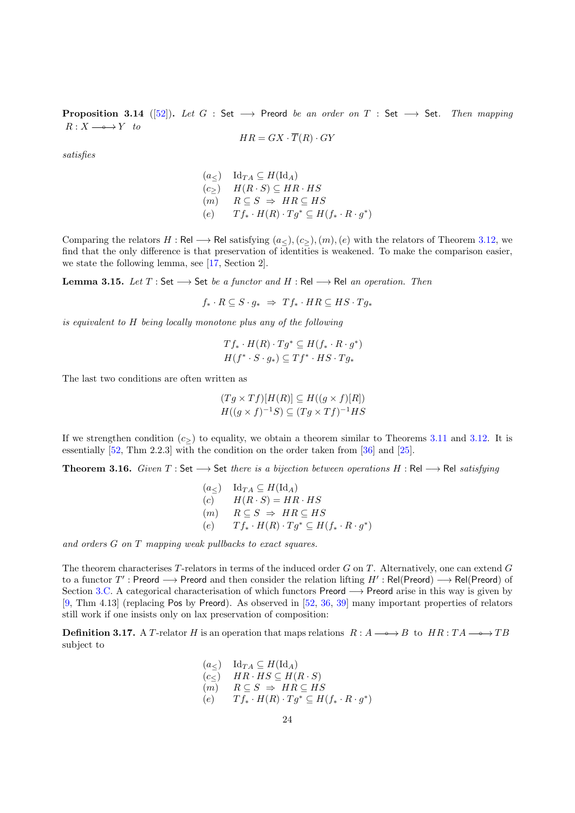**Proposition 3.14** ([\[52\]](#page-31-4)). Let G : Set  $\longrightarrow$  Preord be an order on T : Set  $\longrightarrow$  Set. Then mapping  $R: X \longrightarrow Y$  to

$$
HR = GX \cdot \overline{T}(R) \cdot GY
$$

satisfies

$$
(a_{\le}) \quad \text{Id}_{TA} \subseteq H(\text{Id}_A)
$$
  
\n
$$
(c_{\ge}) \quad H(R \cdot S) \subseteq HR \cdot HS
$$
  
\n
$$
(m) \quad R \subseteq S \implies HR \subseteq HS
$$
  
\n
$$
(e) \quad Tf_* \cdot H(R) \cdot Tg^* \subseteq H(f_* \cdot R \cdot g^*)
$$

Comparing the relators H : Rel  $\rightarrow$  Rel satisfying  $(a<), (c<), (m), (e)$  with the relators of Theorem [3.12,](#page-22-0) we find that the only difference is that preservation of identities is weakened. To make the comparison easier, we state the following lemma, see [\[17,](#page-30-8) Section 2].

Lemma 3.15. Let  $T:$  Set  $\longrightarrow$  Set be a functor and  $H:$  Rel  $\longrightarrow$  Rel an operation. Then

 $f_* \cdot R \subseteq S \cdot q_* \Rightarrow Tf_* \cdot HR \subseteq HS \cdot Tq_*$ 

is equivalent to H being locally monotone plus any of the following

$$
Tf_* \cdot H(R) \cdot Tg^* \subseteq H(f_* \cdot R \cdot g^*)
$$
  

$$
H(f^* \cdot S \cdot g_*) \subseteq Tf^* \cdot HS \cdot Tg_*
$$

The last two conditions are often written as

$$
(Tg \times Tf)[H(R)] \subseteq H((g \times f)[R])
$$
  

$$
H((g \times f)^{-1}S) \subseteq (Tg \times Tf)^{-1}HS
$$

If we strengthen condition  $(c<sub>></sub>)$  to equality, we obtain a theorem similar to Theorems [3.11](#page-22-1) and [3.12.](#page-22-0) It is essentially [\[52,](#page-31-4) Thm 2.2.3] with the condition on the order taken from [\[36\]](#page-30-25) and [\[25\]](#page-30-24).

Theorem 3.16. Given  $T:$  Set  $\longrightarrow$  Set there is a bijection between operations  $H:$  Rel  $\longrightarrow$  Rel satisfying

$$
(a_{\le}) \quad \text{Id}_{TA} \subseteq H(\text{Id}_{A})
$$
  
\n(c) 
$$
H(R \cdot S) = HR \cdot HS
$$
  
\n(m) 
$$
R \subseteq S \implies HR \subseteq HS
$$
  
\n(e) 
$$
Tf_{*} \cdot H(R) \cdot Tg^{*} \subseteq H(f_{*} \cdot R \cdot g^{*})
$$

and orders G on T mapping weak pullbacks to exact squares.

The theorem characterises T-relators in terms of the induced order G on T. Alternatively, one can extend G to a functor  $T'$ : Preord  $\longrightarrow$  Preord and then consider the relation lifting  $H'$ : Rel(Preord)  $\longrightarrow$  Rel(Preord) of Section [3.C.](#page-13-0) A categorical characterisation of which functors Preord → Preord arise in this way is given by [\[9,](#page-30-26) Thm 4.13] (replacing Pos by Preord). As observed in [\[52,](#page-31-4) [36,](#page-30-25) [39\]](#page-30-27) many important properties of relators still work if one insists only on lax preservation of composition:

<span id="page-23-0"></span>**Definition 3.17.** A T-relator H is an operation that maps relations  $R : A \longrightarrow B$  to  $HR : TA \longrightarrow TB$ subject to

$$
(a_{\le}) \quad \text{Id}_{TA} \subseteq H(\text{Id}_A)
$$
  
\n
$$
(c_{\le}) \quad HR \cdot HS \subseteq H(R \cdot S)
$$
  
\n
$$
(m) \quad R \subseteq S \implies HR \subseteq HS
$$
  
\n
$$
(e) \quad Tf_* \cdot H(R) \cdot Tg^* \subseteq H(f_* \cdot R \cdot g^*)
$$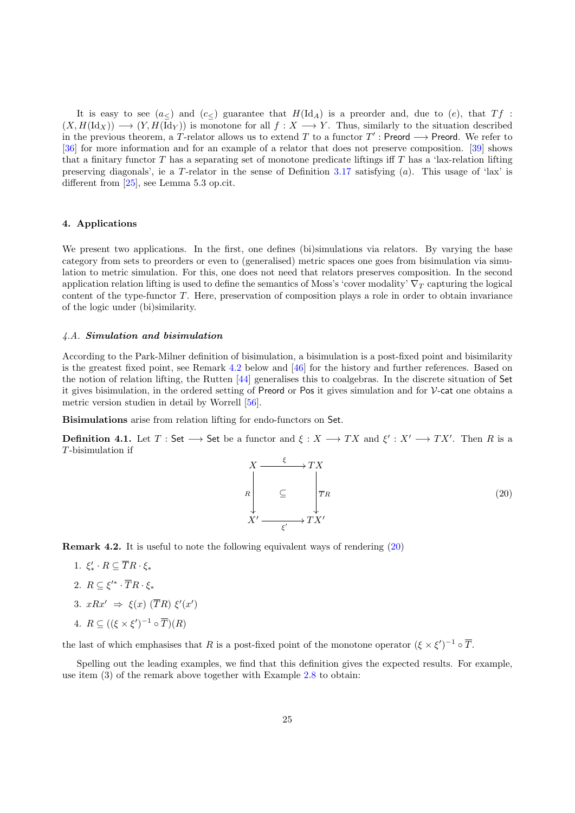It is easy to see  $(a<)$  and  $(c<)$  guarantee that  $H(\mathrm{Id}_A)$  is a preorder and, due to  $(e)$ , that  $Tf$ :  $(X, H(\mathrm{Id}_X)) \longrightarrow (Y, H(\mathrm{Id}_Y))$  is monotone for all  $f : X \longrightarrow Y$ . Thus, similarly to the situation described in the previous theorem, a T-relator allows us to extend T to a functor  $T'$ : Preord  $\longrightarrow$  Preord. We refer to [\[36\]](#page-30-25) for more information and for an example of a relator that does not preserve composition. [\[39\]](#page-30-27) shows that a finitary functor T has a separating set of monotone predicate liftings iff T has a 'lax-relation lifting preserving diagonals', ie a T-relator in the sense of Definition [3.17](#page-23-0) satisfying (a). This usage of 'lax' is different from [\[25\]](#page-30-24), see Lemma 5.3 op.cit.

# <span id="page-24-0"></span>4. Applications

We present two applications. In the first, one defines (bi)simulations via relators. By varying the base category from sets to preorders or even to (generalised) metric spaces one goes from bisimulation via simulation to metric simulation. For this, one does not need that relators preserves composition. In the second application relation lifting is used to define the semantics of Moss's 'cover modality'  $\nabla_T$  capturing the logical content of the type-functor T. Here, preservation of composition plays a role in order to obtain invariance of the logic under (bi)similarity.

#### <span id="page-24-1"></span>4.A. Simulation and bisimulation

According to the Park-Milner definition of bisimulation, a bisimulation is a post-fixed point and bisimilarity is the greatest fixed point, see Remark [4.2](#page-24-2) below and [\[46\]](#page-30-28) for the history and further references. Based on the notion of relation lifting, the Rutten [\[44\]](#page-30-29) generalises this to coalgebras. In the discrete situation of Set it gives bisimulation, in the ordered setting of Preord or Pos it gives simulation and for V-cat one obtains a metric version studien in detail by Worrell [\[56\]](#page-31-5).

Bisimulations arise from relation lifting for endo-functors on Set.

**Definition 4.1.** Let  $T:$  Set  $\longrightarrow$  Set be a functor and  $\xi: X \longrightarrow TX$  and  $\xi': X' \longrightarrow TX'$ . Then R is a T-bisimulation if

<span id="page-24-3"></span>
$$
X \xrightarrow{\xi} TX
$$
\n
$$
R \downarrow \qquad \qquad \subseteq \qquad \boxed{\overline{T}R}
$$
\n
$$
X' \xrightarrow{\xi'} TX'
$$
\n
$$
(20)
$$

<span id="page-24-2"></span>Remark 4.2. It is useful to note the following equivalent ways of rendering [\(20\)](#page-24-3)

- 1.  $\xi'_* \cdot R \subseteq \overline{T}R \cdot \xi_*$
- 2.  $R \subseteq \xi'^\ast \cdot \overline{T}R \cdot \xi_\ast$
- 3.  $xRx' \Rightarrow \xi(x)$  (TR)  $\xi'(x')$
- 4.  $R \subseteq ((\xi \times \xi')^{-1} \circ \overline{T})(R)$

the last of which emphasises that R is a post-fixed point of the monotone operator  $(\xi \times \xi')^{-1} \circ \overline{T}$ .

Spelling out the leading examples, we find that this definition gives the expected results. For example, use item (3) of the remark above together with Example [2.8](#page-6-1) to obtain: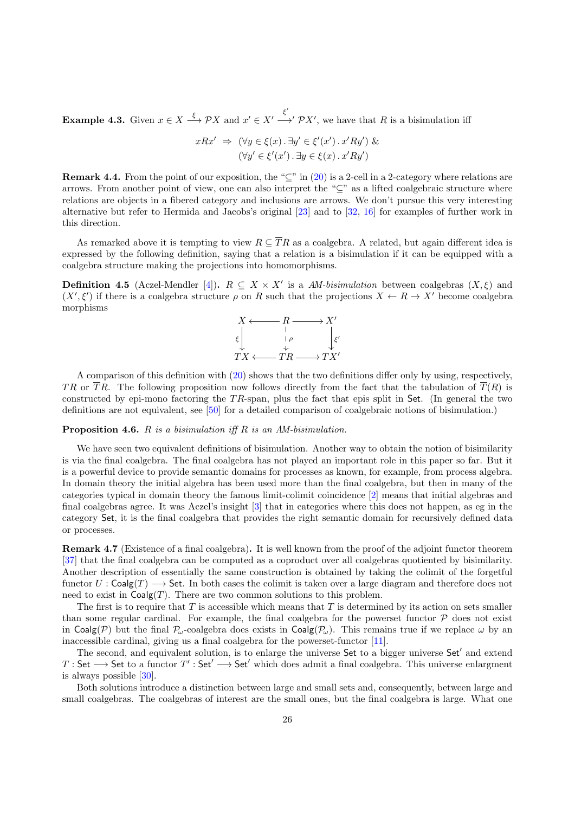<span id="page-25-1"></span>**Example 4.3.** Given  $x \in X \xrightarrow{\xi} \mathcal{P}X$  and  $x' \in X' \xrightarrow{\xi'} \mathcal{P}X'$ , we have that R is a bisimulation iff

$$
xRx' \Rightarrow (\forall y \in \xi(x) \cdot \exists y' \in \xi'(x') \cdot x'Ry') \&
$$

$$
(\forall y' \in \xi'(x') \cdot \exists y \in \xi(x) \cdot x'Ry')
$$

**Remark 4.4.** From the point of our exposition, the " $\subseteq$ " in [\(20\)](#page-24-3) is a 2-cell in a 2-category where relations are arrows. From another point of view, one can also interpret the "⊆" as a lifted coalgebraic structure where relations are objects in a fibered category and inclusions are arrows. We don't pursue this very interesting alternative but refer to Hermida and Jacobs's original [\[23\]](#page-30-30) and to [\[32,](#page-30-31) [16\]](#page-30-32) for examples of further work in this direction.

As remarked above it is tempting to view  $R \subseteq \overline{R}$  as a coalgebra. A related, but again different idea is expressed by the following definition, saying that a relation is a bisimulation if it can be equipped with a coalgebra structure making the projections into homomorphisms.

**Definition 4.5** (Aczel-Mendler [\[4\]](#page-29-4)).  $R \subseteq X \times X'$  is a AM-bisimulation between coalgebras  $(X, \xi)$  and  $(X', \xi')$  if there is a coalgebra structure  $\rho$  on R such that the projections  $X \leftarrow R \rightarrow X'$  become coalgebra morphisms



A comparison of this definition with [\(20\)](#page-24-3) shows that the two definitions differ only by using, respectively, TR or TR. The following proposition now follows directly from the fact that the tabulation of  $\overline{T}(R)$  is constructed by epi-mono factoring the TR-span, plus the fact that epis split in Set. (In general the two definitions are not equivalent, see [\[50\]](#page-31-6) for a detailed comparison of coalgebraic notions of bisimulation.)

# **Proposition 4.6.**  $R$  is a bisimulation iff  $R$  is an AM-bisimulation.

We have seen two equivalent definitions of bisimulation. Another way to obtain the notion of bisimilarity is via the final coalgebra. The final coalgebra has not played an important role in this paper so far. But it is a powerful device to provide semantic domains for processes as known, for example, from process algebra. In domain theory the initial algebra has been used more than the final coalgebra, but then in many of the categories typical in domain theory the famous limit-colimit coincidence [\[2\]](#page-29-1) means that initial algebras and final coalgebras agree. It was Aczel's insight [\[3\]](#page-29-2) that in categories where this does not happen, as eg in the category Set, it is the final coalgebra that provides the right semantic domain for recursively defined data or processes.

<span id="page-25-0"></span>Remark 4.7 (Existence of a final coalgebra). It is well known from the proof of the adjoint functor theorem [\[37\]](#page-30-11) that the final coalgebra can be computed as a coproduct over all coalgebras quotiented by bisimilarity. Another description of essentially the same construction is obtained by taking the colimit of the forgetful functor  $U : \mathsf{Coalg}(T) \longrightarrow \mathsf{Set}.$  In both cases the colimit is taken over a large diagram and therefore does not need to exist in  $Coalg(T)$ . There are two common solutions to this problem.

The first is to require that  $T$  is accessible which means that  $T$  is determined by its action on sets smaller than some regular cardinal. For example, the final coalgebra for the powerset functor  $P$  does not exist in Coalg(P) but the final  $P_{\omega}$ -coalgebra does exists in Coalg( $P_{\omega}$ ). This remains true if we replace  $\omega$  by an inaccessible cardinal, giving us a final coalgebra for the powerset-functor [\[11\]](#page-30-33).

The second, and equivalent solution, is to enlarge the universe Set to a bigger universe Set' and extend  $T : Set \longrightarrow Set$  to a functor  $T' : Set' \longrightarrow Set'$  which does admit a final coalgebra. This universe enlargment is always possible [\[30\]](#page-30-21).

Both solutions introduce a distinction between large and small sets and, consequently, between large and small coalgebras. The coalgebras of interest are the small ones, but the final coalgebra is large. What one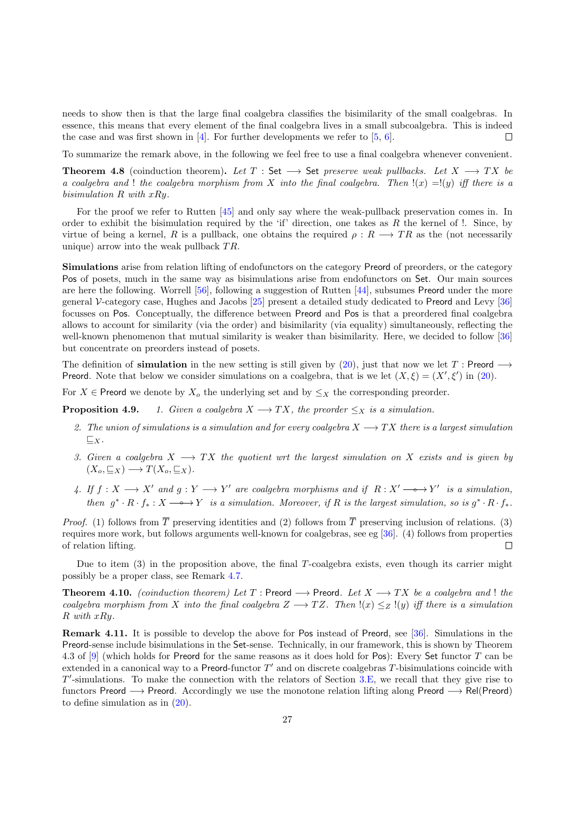needs to show then is that the large final coalgebra classifies the bisimilarity of the small coalgebras. In essence, this means that every element of the final coalgebra lives in a small subcoalgebra. This is indeed the case and was first shown in  $[4]$ . For further developments we refer to  $[5, 6]$  $[5, 6]$  $[5, 6]$ .  $\Box$ 

To summarize the remark above, in the following we feel free to use a final coalgebra whenever convenient.

Theorem 4.8 (coinduction theorem). Let  $T : Set \longrightarrow Set$  preserve weak pullbacks. Let  $X \longrightarrow TX$  be a coalgebra and ! the coalgebra morphism from X into the final coalgebra. Then  $\mathcal{L}(x) = \mathcal{L}(y)$  iff there is a bisimulation  $R$  with  $xRy$ .

For the proof we refer to Rutten [\[45\]](#page-30-4) and only say where the weak-pullback preservation comes in. In order to exhibit the bisimulation required by the 'if' direction, one takes as  $R$  the kernel of !. Since, by virtue of being a kernel, R is a pullback, one obtains the required  $\rho : R \longrightarrow TR$  as the (not necessarily unique) arrow into the weak pullback  $TR$ .

Simulations arise from relation lifting of endofunctors on the category Preord of preorders, or the category Pos of posets, much in the same way as bisimulations arise from endofunctors on Set. Our main sources are here the following. Worrell [\[56\]](#page-31-5), following a suggestion of Rutten [\[44\]](#page-30-29), subsumes Preord under the more general V-category case, Hughes and Jacobs [\[25\]](#page-30-24) present a detailed study dedicated to Preord and Levy [\[36\]](#page-30-25) focusses on Pos. Conceptually, the difference between Preord and Pos is that a preordered final coalgebra allows to account for similarity (via the order) and bisimilarity (via equality) simultaneously, reflecting the well-known phenomenon that mutual similarity is weaker than bisimilarity. Here, we decided to follow [\[36\]](#page-30-25) but concentrate on preorders instead of posets.

The definition of **simulation** in the new setting is still given by [\(20\)](#page-24-3), just that now we let T : Preord  $\rightarrow$ **Preord.** Note that below we consider simulations on a coalgebra, that is we let  $(X, \xi) = (X', \xi')$  in [\(20\)](#page-24-3).

For  $X \in$  Preord we denote by  $X_o$  the underlying set and by  $\leq_X$  the corresponding preorder.

**Proposition 4.9.** 1. Given a coalgebra  $X \longrightarrow TX$ , the preorder  $\leq_X$  is a simulation.

- 2. The union of simulations is a simulation and for every coalgebra  $X \longrightarrow TX$  there is a largest simulation  $\sqsubseteq_X$ .
- 3. Given a coalgebra  $X \longrightarrow TX$  the quotient wrt the largest simulation on X exists and is given by  $(X_o, \subseteq_X) \longrightarrow T(X_o, \subseteq_X).$
- 4. If  $f: X \longrightarrow X'$  and  $g: Y \longrightarrow Y'$  are coalgebra morphisms and if  $R: X' \longrightarrow Y'$  is a simulation, then  $g^* \cdot R \cdot f_* : X \longrightarrow Y$  is a simulation. Moreover, if R is the largest simulation, so is  $g^* \cdot R \cdot f_*$ .

*Proof.* (1) follows from  $\overline{T}$  preserving identities and (2) follows from  $\overline{T}$  preserving inclusion of relations. (3) requires more work, but follows arguments well-known for coalgebras, see eg [\[36\]](#page-30-25). (4) follows from properties of relation lifting.  $\Box$ 

Due to item (3) in the proposition above, the final T-coalgebra exists, even though its carrier might possibly be a proper class, see Remark [4.7.](#page-25-0)

<span id="page-26-0"></span>**Theorem 4.10.** (coinduction theorem) Let T : Preord  $\longrightarrow$  Preord. Let  $X \longrightarrow TX$  be a coalgebra and! the coalgebra morphism from X into the final coalgebra  $Z \longrightarrow TZ$ . Then  $!(x) \leq_Z !(y)$  iff there is a simulation R with xRy.

Remark 4.11. It is possible to develop the above for Pos instead of Preord, see [\[36\]](#page-30-25). Simulations in the Preord-sense include bisimulations in the Set-sense. Technically, in our framework, this is shown by Theorem 4.3 of [\[9\]](#page-30-26) (which holds for Preord for the same reasons as it does hold for Pos): Every Set functor T can be extended in a canonical way to a Preord-functor  $T'$  and on discrete coalgebras T-bisimulations coincide with  $T'$ -simulations. To make the connection with the relators of Section [3.E,](#page-21-0) we recall that they give rise to functors Preord −→ Preord. Accordingly we use the monotone relation lifting along Preord −→ Rel(Preord) to define simulation as in [\(20\)](#page-24-3).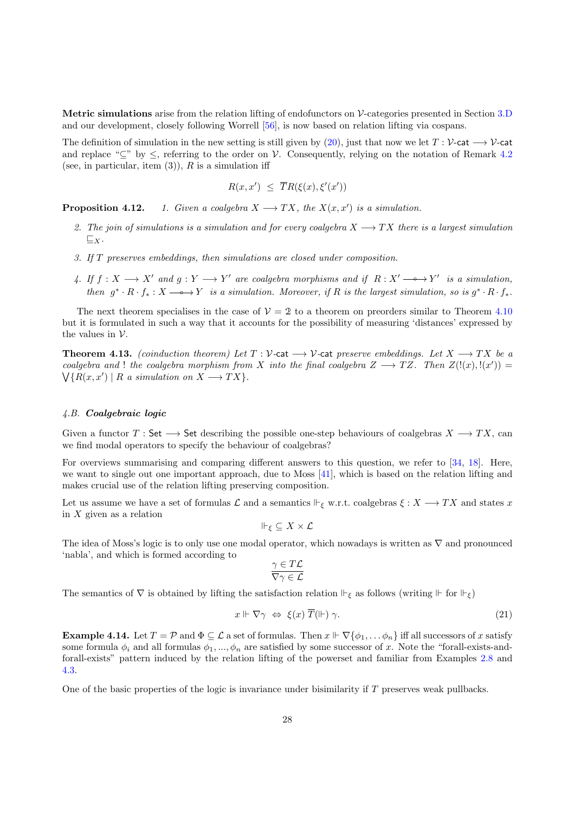Metric simulations arise from the relation lifting of endofunctors on V-categories presented in Section [3.D](#page-18-0) and our development, closely following Worrell [\[56\]](#page-31-5), is now based on relation lifting via cospans.

The definition of simulation in the new setting is still given by [\(20\)](#page-24-3), just that now we let  $T : \mathcal{V}\text{-cat} \longrightarrow \mathcal{V}\text{-cat}$ and replace " $\subseteq$ " by  $\leq$ , referring to the order on V. Consequently, relying on the notation of Remark [4.2](#page-24-2) (see, in particular, item  $(3)$ ), R is a simulation iff

$$
R(x, x') \leq \overline{T}R(\xi(x), \xi'(x'))
$$

**Proposition 4.12.** 1. Given a coalgebra  $X \longrightarrow TX$ , the  $X(x, x')$  is a simulation.

- 2. The join of simulations is a simulation and for every coalgebra  $X \longrightarrow TX$  there is a largest simulation  $\sqsubseteq_X$ .
- 3. If T preserves embeddings, then simulations are closed under composition.
- 4. If  $f: X \longrightarrow X'$  and  $g: Y \longrightarrow Y'$  are coalgebra morphisms and if  $R: X' \longrightarrow Y'$  is a simulation, then  $g^* \cdot R \cdot f_* : X \longrightarrow Y$  is a simulation. Moreover, if R is the largest simulation, so is  $g^* \cdot R \cdot f_*$ .

The next theorem specialises in the case of  $\mathcal{V} = 2$  to a theorem on preorders similar to Theorem [4.10](#page-26-0) but it is formulated in such a way that it accounts for the possibility of measuring 'distances' expressed by the values in  $V$ .

**Theorem 4.13.** (coinduction theorem) Let  $T : \mathcal{V}$ -cat  $\rightarrow \mathcal{V}$ -cat preserve embeddings. Let  $X \rightarrow TX$  be a coalgebra and ! the coalgebra morphism from X into the final coalgebra  $Z \longrightarrow TZ$ . Then  $Z(!(x),!(x')) =$  $\bigvee \{ R(x, x') \mid R \text{ a simulation on } X \longrightarrow TX \}.$ 

#### <span id="page-27-0"></span>4.B. Coalgebraic logic

Given a functor  $T : \mathsf{Set} \longrightarrow \mathsf{Set}$  describing the possible one-step behaviours of coalgebras  $X \longrightarrow TX$ , can we find modal operators to specify the behaviour of coalgebras?

For overviews summarising and comparing different answers to this question, we refer to [\[34,](#page-30-35) [18\]](#page-30-36). Here, we want to single out one important approach, due to Moss [\[41\]](#page-30-37), which is based on the relation lifting and makes crucial use of the relation lifting preserving composition.

Let us assume we have a set of formulas  $\mathcal L$  and a semantics  $\Vdash_{\varepsilon}$  w.r.t. coalgebras  $\xi: X \longrightarrow TX$  and states x in  $X$  given as a relation

$$
\Vdash_{\xi} \subseteq X \times \mathcal{L}
$$

The idea of Moss's logic is to only use one modal operator, which nowadays is written as  $\nabla$  and pronounced 'nabla', and which is formed according to

$$
\frac{\gamma \in T\mathcal{L}}{\nabla \gamma \in \mathcal{L}}
$$

The semantics of  $\nabla$  is obtained by lifting the satisfaction relation  $\Vdash_{\xi}$  as follows (writing  $\Vdash$  for  $\Vdash_{\xi}$ )

$$
x \Vdash \nabla \gamma \iff \xi(x) \overline{T}(\Vdash) \gamma. \tag{21}
$$

**Example 4.14.** Let  $T = \mathcal{P}$  and  $\Phi \subseteq \mathcal{L}$  a set of formulas. Then  $x \Vdash \nabla \{\phi_1, \dots, \phi_n\}$  iff all successors of x satisfy some formula  $\phi_i$  and all formulas  $\phi_1, ..., \phi_n$  are satisfied by some successor of x. Note the "forall-exists-andforall-exists" pattern induced by the relation lifting of the powerset and familiar from Examples [2.8](#page-6-1) and [4.3.](#page-25-1)

One of the basic properties of the logic is invariance under bisimilarity if T preserves weak pullbacks.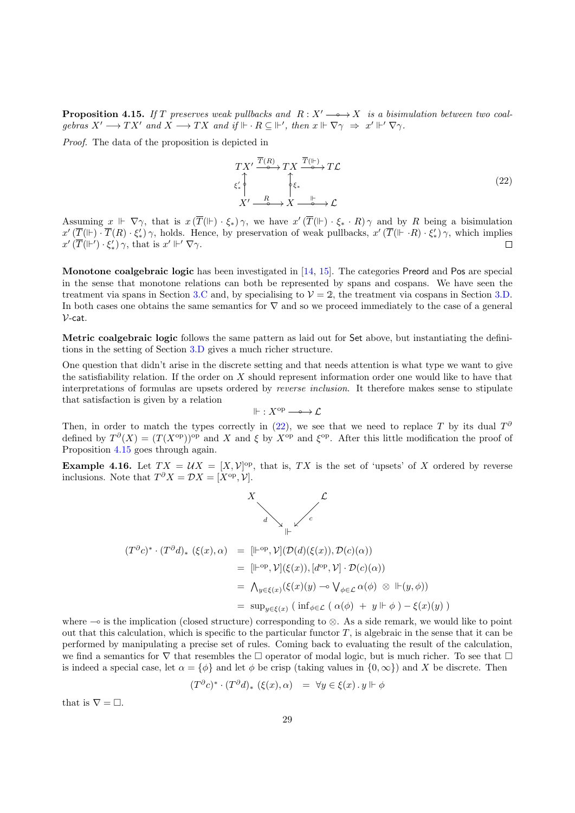<span id="page-28-1"></span>**Proposition 4.15.** If T preserves weak pullbacks and  $R: X' \longrightarrow X$  is a bisimulation between two coalgebras  $X' \longrightarrow TX'$  and  $X \longrightarrow TX$  and if  $\mathbb{H} \cdot R \subseteq \mathbb{H}'$ , then  $x \Vdash \nabla \gamma \Rightarrow x' \Vdash' \nabla \gamma$ .

Proof. The data of the proposition is depicted in

<span id="page-28-0"></span>
$$
TX' \xrightarrow{\overline{T}(R)} TX \xrightarrow{\overline{T}(\mathbb{I}^{\mathbb{I}})} T\mathcal{L}
$$
  

$$
\xi'_{*} \uparrow \qquad \qquad \uparrow \xi_{*}
$$
  

$$
X' \xrightarrow{\quad R \quad \downarrow \qquad \downarrow} X \xrightarrow{\quad \downarrow \qquad \downarrow} \mathcal{L}
$$
  

$$
(22)
$$

Assuming  $x \Vdash \nabla \gamma$ , that is  $x(\overline{T}(\Vdash) \cdot \xi_*)\gamma$ , we have  $x'(\overline{T}(\Vdash) \cdot \xi_* \cdot R)\gamma$  and by R being a bisimulation  $x'(\overline{T}(\Vdash \cdot \overline{T}(R) \cdot \xi'_{*}) \gamma$ , holds. Hence, by preservation of weak pullbacks,  $x'(\overline{T}(\Vdash \cdot R) \cdot \xi'_{*}) \gamma$ , which implies  $x'(\overline{T}(\Vdash')\cdot\xi'_*)\gamma$ , that is  $x'\Vdash'\nabla\gamma$ .  $\Box$ 

Monotone coalgebraic logic has been investigated in [\[14,](#page-30-17) [15\]](#page-30-22). The categories Preord and Pos are special in the sense that monotone relations can both be represented by spans and cospans. We have seen the treatment via spans in Section [3.C](#page-13-0) and, by specialising to  $\mathcal{V} = 2$ , the treatment via cospans in Section [3.D.](#page-18-0) In both cases one obtains the same semantics for  $\nabla$  and so we proceed immediately to the case of a general  $V$ -cat.

Metric coalgebraic logic follows the same pattern as laid out for Set above, but instantiating the definitions in the setting of Section [3.D](#page-18-0) gives a much richer structure.

One question that didn't arise in the discrete setting and that needs attention is what type we want to give the satisfiability relation. If the order on X should represent information order one would like to have that interpretations of formulas are upsets ordered by reverse inclusion. It therefore makes sense to stipulate that satisfaction is given by a relation

$$
\Vdash : X^\mathrm{op}\longrightarrow \mathcal{L}
$$

Then, in order to match the types correctly in  $(22)$ , we see that we need to replace T by its dual  $T^{\delta}$ defined by  $T^{\partial}(X) = (T(X^{\text{op}}))^{\text{op}}$  and X and  $\xi$  by  $X^{\text{op}}$  and  $\xi^{\text{op}}$ . After this little modification the proof of Proposition [4.15](#page-28-1) goes through again.

**Example 4.16.** Let  $TX = \mathcal{U}X = [X, \mathcal{V}]^{\text{op}}$ , that is,  $TX$  is the set of 'upsets' of X ordered by reverse inclusions. Note that  $T^{\partial} X = \mathcal{D} X = [X^{\text{op}}, \mathcal{V}].$ 



$$
(T^{\partial}c)^{*} \cdot (T^{\partial}d)_{*} (\xi(x), \alpha) = [\mathbb{H}^{\text{op}}, \mathcal{V}](\mathcal{D}(d)(\xi(x)), \mathcal{D}(c)(\alpha))
$$
  
\n
$$
= [\mathbb{H}^{\text{op}}, \mathcal{V}](\xi(x)), [d^{\text{op}}, \mathcal{V}] \cdot \mathcal{D}(c)(\alpha))
$$
  
\n
$$
= \Lambda_{y \in \xi(x)} (\xi(x)(y) \to \mathsf{V}_{\phi \in \mathcal{L}} \alpha(\phi) \otimes \mathbb{H}(y, \phi))
$$
  
\n
$$
= \sup_{y \in \xi(x)} (\inf_{\phi \in \mathcal{L}} (\alpha(\phi) + y \mathbb{H} \phi) - \xi(x)(y))
$$

where  $\sim$  is the implication (closed structure) corresponding to  $\otimes$ . As a side remark, we would like to point out that this calculation, which is specific to the particular functor  $T$ , is algebraic in the sense that it can be performed by manipulating a precise set of rules. Coming back to evaluating the result of the calculation, we find a semantics for  $\nabla$  that resembles the  $\Box$  operator of modal logic, but is much richer. To see that  $\Box$ is indeed a special case, let  $\alpha = {\phi}$  and let  $\phi$  be crisp (taking values in  ${0, \infty}$ ) and X be discrete. Then

$$
(T^{\partial}c)^{*}\cdot (T^{\partial}d)_{*} (\xi(x),\alpha) = \forall y\in \xi(x)\,.\,y\Vdash \phi
$$

that is  $\nabla = \Box$ .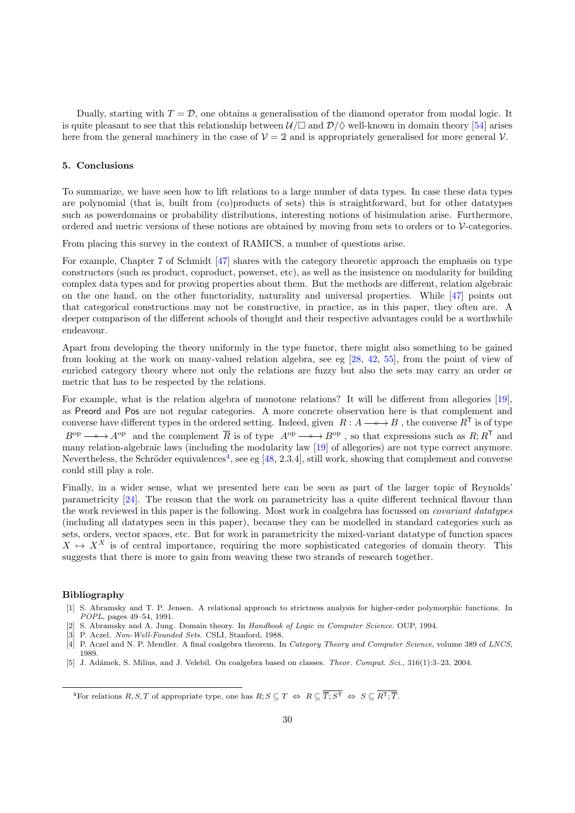Dually, starting with  $T = \mathcal{D}$ , one obtains a generalisation of the diamond operator from modal logic. It is quite pleasant to see that this relationship between  $U/\Box$  and  $\mathcal{D}/\Diamond$  well-known in domain theory [\[54\]](#page-31-7) arises here from the general machinery in the case of  $\mathcal{V} = 2$  and is appropriately generalised for more general  $\mathcal{V}$ .

# <span id="page-29-0"></span>5. Conclusions

To summarize, we have seen how to lift relations to a large number of data types. In case these data types are polynomial (that is, built from (co)products of sets) this is straightforward, but for other datatypes such as powerdomains or probability distributions, interesting notions of bisimulation arise. Furthermore, ordered and metric versions of these notions are obtained by moving from sets to orders or to V-categories.

From placing this survey in the context of RAMICS, a number of questions arise.

For example, Chapter 7 of Schmidt [\[47\]](#page-30-0) shares with the category theoretic approach the emphasis on type constructors (such as product, coproduct, powerset, etc), as well as the insistence on modularity for building complex data types and for proving properties about them. But the methods are different, relation algebraic on the one hand, on the other functoriality, naturality and universal properties. While [\[47\]](#page-30-0) points out that categorical constructions may not be constructive, in practice, as in this paper, they often are. A deeper comparison of the different schools of thought and their respective advantages could be a worthwhile endeavour.

Apart from developing the theory uniformly in the type functor, there might also something to be gained from looking at the work on many-valued relation algebra, see eg [\[28,](#page-30-38) [42,](#page-30-39) [55\]](#page-31-8), from the point of view of enriched category theory where not only the relations are fuzzy but also the sets may carry an order or metric that has to be respected by the relations.

For example, what is the relation algebra of monotone relations? It will be different from allegories [\[19\]](#page-30-40), as Preord and Pos are not regular categories. A more concrete observation here is that complement and converse have different types in the ordered setting. Indeed, given  $R : A \longrightarrow B$ , the converse  $R^T$  is of type  $B^{\rm op} \longrightarrow A^{\rm op}$  and the complement  $\overline{R}$  is of type  $A^{\rm op} \longrightarrow B^{\rm op}$ , so that expressions such as  $R; R^{\mathsf{T}}$  and many relation-algebraic laws (including the modularity law [\[19\]](#page-30-40) of allegories) are not type correct anymore. Nevertheless, the Schröder equivalences<sup>[4](#page-29-6)</sup>, see eg [ $48$ , 2.3.4], still work, showing that complement and converse could still play a role.

Finally, in a wider sense, what we presented here can be seen as part of the larger topic of Reynolds' parametricity [\[24\]](#page-30-41). The reason that the work on parametricity has a quite different technical flavour than the work reviewed in this paper is the following. Most work in coalgebra has focussed on covariant datatypes (including all datatypes seen in this paper), because they can be modelled in standard categories such as sets, orders, vector spaces, etc. But for work in parametricity the mixed-variant datatype of function spaces  $X \mapsto X^X$  is of central importance, requiring the more sophisticated categories of domain theory. This suggests that there is more to gain from weaving these two strands of research together.

# Bibliography

- <span id="page-29-3"></span>[1] S. Abramsky and T. P. Jensen. A relational approach to strictness analysis for higher-order polymorphic functions. In POPL, pages 49–54, 1991.
- <span id="page-29-1"></span>[2] S. Abramsky and A. Jung. Domain theory. In Handbook of Logic in Computer Science. OUP, 1994.
- <span id="page-29-2"></span>[3] P. Aczel. Non-Well-Founded Sets. CSLI, Stanford, 1988.
- <span id="page-29-4"></span>[4] P. Aczel and N. P. Mendler. A final coalgebra theorem. In Category Theory and Computer Science, volume 389 of LNCS, 1989.
- <span id="page-29-5"></span>[5] J. Adámek, S. Milius, and J. Velebil. On coalgebra based on classes. Theor. Comput. Sci., 316(1):3–23, 2004.

<span id="page-29-6"></span> ${}^4\mathrm{For~relations}~R, S, T \text{ of appropriate type, one has }R; S \subseteq T \iff R \subseteq \overline{\overline{T}; S^{\mathsf{T}}} \iff S \subseteq \overline{R^{\mathsf{T}}; \overline{T}}.$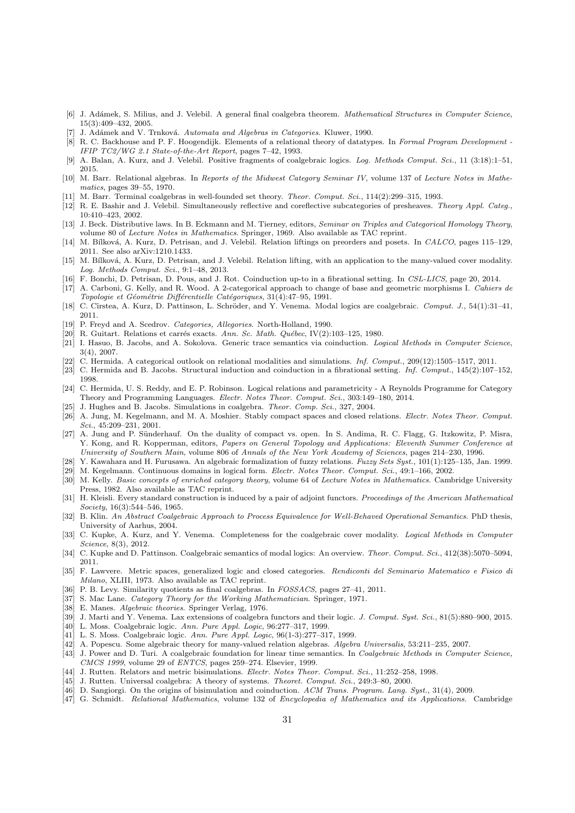- <span id="page-30-34"></span>[6] J. Adámek, S. Milius, and J. Velebil. A general final coalgebra theorem. Mathematical Structures in Computer Science, 15(3):409–432, 2005.
- <span id="page-30-3"></span>[7] J. Adámek and V. Trnková. Automata and Algebras in Categories. Kluwer, 1990.
- <span id="page-30-23"></span>[8] R. C. Backhouse and P. F. Hoogendijk. Elements of a relational theory of datatypes. In Formal Program Development -IFIP TC2/WG 2.1 State-of-the-Art Report, pages 7–42, 1993.
- <span id="page-30-26"></span>[9] A. Balan, A. Kurz, and J. Velebil. Positive fragments of coalgebraic logics. Log. Methods Comput. Sci., 11 (3:18):1–51, 2015.
- <span id="page-30-6"></span>[10] M. Barr. Relational algebras. In Reports of the Midwest Category Seminar IV, volume 137 of Lecture Notes in Mathematics, pages 39–55, 1970.
- <span id="page-30-33"></span>[11] M. Barr. Terminal coalgebras in well-founded set theory. Theor. Comput. Sci., 114(2):299–315, 1993.
- <span id="page-30-18"></span>[12] R. E. Bashir and J. Velebil. Simultaneously reflective and coreflective subcategories of presheaves. Theory Appl. Categ., 10:410–423, 2002.
- <span id="page-30-2"></span>[13] J. Beck. Distributive laws. In B. Eckmann and M. Tierney, editors, Seminar on Triples and Categorical Homology Theory, volume 80 of Lecture Notes in Mathematics. Springer, 1969. Also available as TAC reprint.
- <span id="page-30-17"></span>[14] M. Bílková, A. Kurz, D. Petrisan, and J. Velebil. Relation liftings on preorders and posets. In CALCO, pages 115–129, 2011. See also arXiv:1210.1433.
- <span id="page-30-22"></span>[15] M. Bílková, A. Kurz, D. Petrisan, and J. Velebil. Relation lifting, with an application to the many-valued cover modality. Log. Methods Comput. Sci., 9:1–48, 2013.
- <span id="page-30-32"></span>[16] F. Bonchi, D. Petrisan, D. Pous, and J. Rot. Coinduction up-to in a fibrational setting. In CSL-LICS, page 20, 2014.
- <span id="page-30-8"></span>[17] A. Carboni, G. Kelly, and R. Wood. A 2-categorical approach to change of base and geometric morphisms I. Cahiers de Topologie et Géométrie Différentielle Catégoriques, 31(4):47-95, 1991.
- <span id="page-30-36"></span>[18] C. Cîrstea, A. Kurz, D. Pattinson, L. Schröder, and Y. Venema. Modal logics are coalgebraic. Comput. J., 54(1):31-41, 2011.
- <span id="page-30-40"></span>[19] P. Freyd and A. Scedrov. Categories, Allegories. North-Holland, 1990.
- <span id="page-30-19"></span>[20] R. Guitart. Relations et carrés exacts. Ann. Sc. Math. Québec, IV(2):103-125, 1980.
- <span id="page-30-13"></span>[21] I. Hasuo, B. Jacobs, and A. Sokolova. Generic trace semantics via coinduction. Logical Methods in Computer Science, 3(4), 2007.
- <span id="page-30-9"></span>[22] C. Hermida. A categorical outlook on relational modalities and simulations. *Inf. Comput.*, 209(12):1505–1517, 2011.
- <span id="page-30-30"></span>[23] C. Hermida and B. Jacobs. Structural induction and coinduction in a fibrational setting. Inf. Comput., 145(2):107–152, 1998.
- <span id="page-30-41"></span>[24] C. Hermida, U. S. Reddy, and E. P. Robinson. Logical relations and parametricity - A Reynolds Programme for Category Theory and Programming Languages. Electr. Notes Theor. Comput. Sci., 303:149–180, 2014.
- <span id="page-30-24"></span>[25] J. Hughes and B. Jacobs. Simulations in coalgebra. Theor. Comp. Sci., 327, 2004.
- <span id="page-30-15"></span>[26] A. Jung, M. Kegelmann, and M. A. Moshier. Stably compact spaces and closed relations. Electr. Notes Theor. Comput. Sci., 45:209–231, 2001.
- <span id="page-30-14"></span>[27] A. Jung and P. Sünderhauf. On the duality of compact vs. open. In S. Andima, R. C. Flagg, G. Itzkowitz, P. Misra, Y. Kong, and R. Kopperman, editors, Papers on General Topology and Applications: Eleventh Summer Conference at University of Southern Main, volume 806 of Annals of the New York Academy of Sciences, pages 214–230, 1996.
- <span id="page-30-38"></span><span id="page-30-16"></span>[28] Y. Kawahara and H. Furusawa. An algebraic formalization of fuzzy relations. Fuzzy Sets Syst., 101(1):125-135, Jan. 1999. [29] M. Kegelmann. Continuous domains in logical form. Electr. Notes Theor. Comput. Sci., 49:1-166, 2002.
- <span id="page-30-21"></span>[30] M. Kelly. Basic concepts of enriched category theory, volume 64 of Lecture Notes in Mathematics. Cambridge University Press, 1982. Also available as TAC reprint.
- <span id="page-30-10"></span>[31] H. Kleisli. Every standard construction is induced by a pair of adjoint functors. Proceedings of the American Mathematical Society, 16(3):544–546, 1965.
- <span id="page-30-31"></span>[32] B. Klin. An Abstract Coalgebraic Approach to Process Equivalence for Well-Behaved Operational Semantics. PhD thesis, University of Aarhus, 2004.
- <span id="page-30-7"></span>[33] C. Kupke, A. Kurz, and Y. Venema. Completeness for the coalgebraic cover modality. Logical Methods in Computer Science, 8(3), 2012.
- <span id="page-30-35"></span>[34] C. Kupke and D. Pattinson. Coalgebraic semantics of modal logics: An overview. Theor. Comput. Sci., 412(38):5070–5094, 2011.
- <span id="page-30-20"></span>[35] F. Lawvere. Metric spaces, generalized logic and closed categories. Rendiconti del Seminario Matematico e Fisico di Milano, XLIII, 1973. Also available as TAC reprint.
- <span id="page-30-25"></span>[36] P. B. Levy. Similarity quotients as final coalgebras. In FOSSACS, pages 27–41, 2011.
- <span id="page-30-11"></span>[37] S. Mac Lane. Category Theory for the Working Mathematician. Springer, 1971.
- <span id="page-30-1"></span>[38] E. Manes. Algebraic theories. Springer Verlag, 1976.
- <span id="page-30-27"></span>[39] J. Marti and Y. Venema. Lax extensions of coalgebra functors and their logic. J. Comput. Syst. Sci., 81(5):880–900, 2015.
- <span id="page-30-5"></span>[40] L. Moss. Coalgebraic logic. Ann. Pure Appl. Logic, 96:277–317, 1999.
- <span id="page-30-37"></span>[41] L. S. Moss. Coalgebraic logic. Ann. Pure Appl. Logic, 96(1-3):277–317, 1999.
- <span id="page-30-39"></span>[42] A. Popescu. Some algebraic theory for many-valued relation algebras. Algebra Universalis, 53:211-235, 2007.
- <span id="page-30-12"></span>[43] J. Power and D. Turi. A coalgebraic foundation for linear time semantics. In Coalgebraic Methods in Computer Science, CMCS 1999, volume 29 of ENTCS, pages 259–274. Elsevier, 1999.
- <span id="page-30-29"></span>[44] J. Rutten. Relators and metric bisimulations. Electr. Notes Theor. Comput. Sci., 11:252–258, 1998.
- <span id="page-30-4"></span>[45] J. Rutten. Universal coalgebra: A theory of systems. Theoret. Comput. Sci., 249:3–80, 2000.
- <span id="page-30-28"></span>[46] D. Sangiorgi. On the origins of bisimulation and coinduction. ACM Trans. Program. Lang. Syst., 31(4), 2009.
- <span id="page-30-0"></span>[47] G. Schmidt. Relational Mathematics, volume 132 of Encyclopedia of Mathematics and its Applications. Cambridge